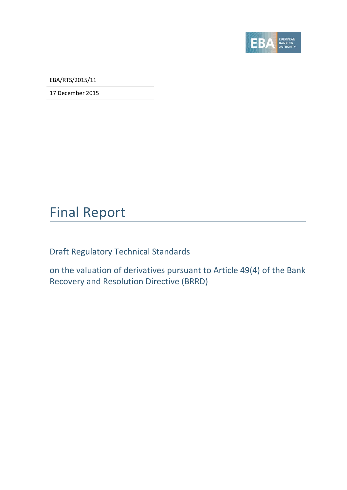

EBA/RTS/2015/11

17 December 2015

# Final Report

Draft Regulatory Technical Standards

on the valuation of derivatives pursuant to Article 49(4) of the Bank Recovery and Resolution Directive (BRRD)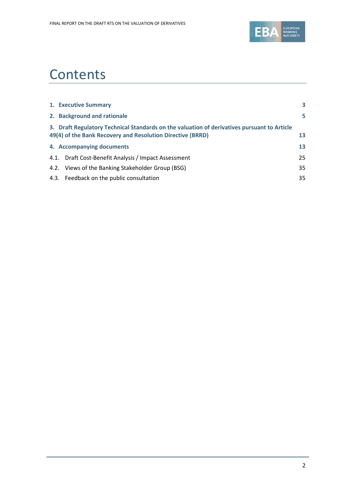

# **Contents**

| 1. Executive Summary                                                                                                                                      | 3  |
|-----------------------------------------------------------------------------------------------------------------------------------------------------------|----|
| 2. Background and rationale                                                                                                                               | 5  |
| 3. Draft Regulatory Technical Standards on the valuation of derivatives pursuant to Article<br>49(4) of the Bank Recovery and Resolution Directive (BRRD) | 13 |
| 4. Accompanying documents                                                                                                                                 | 13 |
| 4.1. Draft Cost-Benefit Analysis / Impact Assessment                                                                                                      | 25 |
| 4.2. Views of the Banking Stakeholder Group (BSG)                                                                                                         | 35 |
| 4.3. Feedback on the public consultation                                                                                                                  | 35 |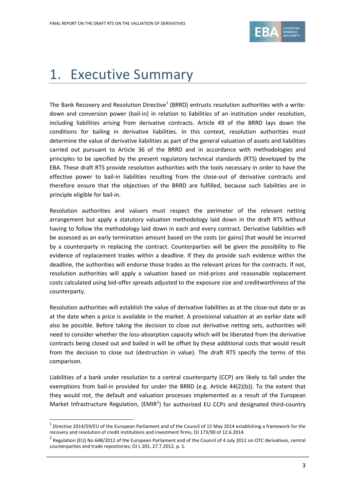

# <span id="page-2-0"></span>1. Executive Summary

The Bank Recovery and Resolution Directive<sup>[1](#page-2-1)</sup> (BRRD) entrusts resolution authorities with a writedown and conversion power (bail-in) in relation to liabilities of an institution under resolution, including liabilities arising from derivative contracts. Article 49 of the BRRD lays down the conditions for bailing in derivative liabilities. In this context, resolution authorities must determine the value of derivative liabilities as part of the general valuation of assets and liabilities carried out pursuant to Article 36 of the BRRD and in accordance with methodologies and principles to be specified by the present regulatory technical standards (RTS) developed by the EBA. These draft RTS provide resolution authorities with the tools necessary in order to have the effective power to bail-in liabilities resulting from the close-out of derivative contracts and therefore ensure that the objectives of the BRRD are fulfilled, because such liabilities are in principle eligible for bail-in.

Resolution authorities and valuers must respect the perimeter of the relevant netting arrangement but apply a statutory valuation methodology laid down in the draft RTS without having to follow the methodology laid down in each and every contract. Derivative liabilities will be assessed as an early termination amount based on the costs (or gains) that would be incurred by a counterparty in replacing the contract. Counterparties will be given the possibility to file evidence of replacement trades within a deadline. If they do provide such evidence within the deadline, the authorities will endorse those trades as the relevant prices for the contracts. If not, resolution authorities will apply a valuation based on mid-prices and reasonable replacement costs calculated using bid-offer spreads adjusted to the exposure size and creditworthiness of the counterparty.

Resolution authorities will establish the value of derivative liabilities as at the close-out date or as at the date when a price is available in the market. A provisional valuation at an earlier date will also be possible. Before taking the decision to close out derivative netting sets, authorities will need to consider whether the loss-absorption capacity which will be liberated from the derivative contracts being closed out and bailed in will be offset by these additional costs that would result from the decision to close out (destruction in value). The draft RTS specify the terms of this comparison.

Liabilities of a bank under resolution to a central counterparty (CCP) are likely to fall under the exemptions from bail-in provided for under the BRRD (e.g. Article 44(2)(b)). To the extent that they would not, the default and valuation processes implemented as a result of the European Market Infrastructure Regulation,  $(EMIR<sup>2</sup>)$  $(EMIR<sup>2</sup>)$  $(EMIR<sup>2</sup>)$  for authorised EU CCPs and designated third-country

<span id="page-2-1"></span> $1$  Directive 2014/59/EU of the European Parliament and of the Council of 15 May 2014 establishing a framework for the recovery and resolution of credit institutions and investment firms, OJ 173/90 of 12.6.2014.

<span id="page-2-2"></span><sup>&</sup>lt;sup>2</sup> Regulation (EU) No 648/2012 of the European Parliament and of the Council of 4 July 2012 on OTC derivatives, central counterparties and trade repositories; OJ L 201, 27.7.2012, p. 1.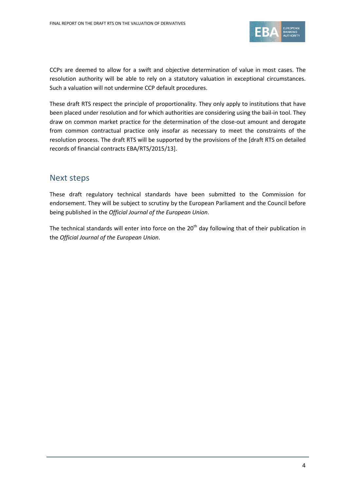

CCPs are deemed to allow for a swift and objective determination of value in most cases. The resolution authority will be able to rely on a statutory valuation in exceptional circumstances. Such a valuation will not undermine CCP default procedures.

These draft RTS respect the principle of proportionality. They only apply to institutions that have been placed under resolution and for which authorities are considering using the bail-in tool. They draw on common market practice for the determination of the close-out amount and derogate from common contractual practice only insofar as necessary to meet the constraints of the resolution process. The draft RTS will be supported by the provisions of the [draft RTS on detailed records of financial contracts EBA/RTS/2015/13].

## Next steps

These draft regulatory technical standards have been submitted to the Commission for endorsement. They will be subject to scrutiny by the European Parliament and the Council before being published in the *Official Journal of the European Union*.

The technical standards will enter into force on the 20<sup>th</sup> day following that of their publication in the *Official Journal of the European Union*.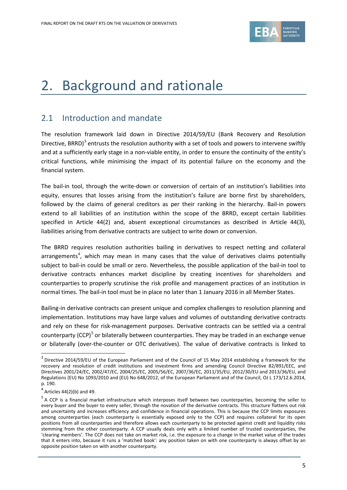

# <span id="page-4-0"></span>2. Background and rationale

# 2.1 Introduction and mandate

The resolution framework laid down in Directive 2014/59/EU (Bank Recovery and Resolution Directive, BRRD)<sup>[3](#page-4-1)</sup> entrusts the resolution authority with a set of tools and powers to intervene swiftly and at a sufficiently early stage in a non-viable entity, in order to ensure the continuity of the entity's critical functions, while minimising the impact of its potential failure on the economy and the financial system.

The bail-in tool, through the write-down or conversion of certain of an institution's liabilities into equity, ensures that losses arising from the institution's failure are borne first by shareholders, followed by the claims of general creditors as per their ranking in the hierarchy. Bail-in powers extend to all liabilities of an institution within the scope of the BRRD, except certain liabilities specified in Article 44(2) and, absent exceptional circumstances as described in Article 44(3), liabilities arising from derivative contracts are subject to write down or conversion.

The BRRD requires resolution authorities bailing in derivatives to respect netting and collateral arrangements<sup>[4](#page-4-2)</sup>, which may mean in many cases that the value of derivatives claims potentially subject to bail-in could be small or zero. Nevertheless, the possible application of the bail-in tool to derivative contracts enhances market discipline by creating incentives for shareholders and counterparties to properly scrutinise the risk profile and management practices of an institution in normal times. The bail-in tool must be in place no later than 1 January 2016 in all Member States.

Bailing-in derivative contracts can present unique and complex challenges to resolution planning and implementation. Institutions may have large values and volumes of outstanding derivative contracts and rely on these for risk-management purposes. Derivative contracts can be settled via a central counterparty (CCP)<sup>[5](#page-4-3)</sup> or bilaterally between counterparties. They may be traded in an exchange venue or bilaterally (over-the-counter or OTC derivatives). The value of derivative contracts is linked to

<span id="page-4-1"></span><sup>&</sup>lt;sup>3</sup> Directive 2014/59/EU of the European Parliament and of the Council of 15 May 2014 establishing a framework for the recovery and resolution of credit institutions and investment firms and amending Council Directive 82/891/EEC, and Directives 2001/24/EC, 2002/47/EC, 2004/25/EC, 2005/56/EC, 2007/36/EC, 2011/35/EU, 2012/30/EU and 2013/36/EU, and Regulations (EU) No 1093/2010 and (EU) No 648/2012, of the European Parliament and of the Council, OJ L 173/12.6.2014, p. 190.

<span id="page-4-2"></span> $4$  Articles 44(2)(b) and 49.

<span id="page-4-3"></span><sup>&</sup>lt;sup>5</sup> A CCP is a financial market infrastructure which interposes itself between two counterparties, becoming the seller to every buyer and the buyer to every seller, through the novation of the derivative contracts. This structure flattens out risk and uncertainty and increases efficiency and confidence in financial operations. This is because the CCP limits exposures among counterparties (each counterparty is essentially exposed only to the CCP) and requires collateral for its open positions from all counterparties and therefore allows each counterparty to be protected against credit and liquidity risks stemming from the other counterparty. A CCP usually deals only with a limited number of trusted counterparties, the 'clearing members'. The CCP does not take on market risk, i.e. the exposure to a change in the market value of the trades that it enters into, because it runs a 'matched book': any position taken on with one counterparty is always offset by an opposite position taken on with another counterparty.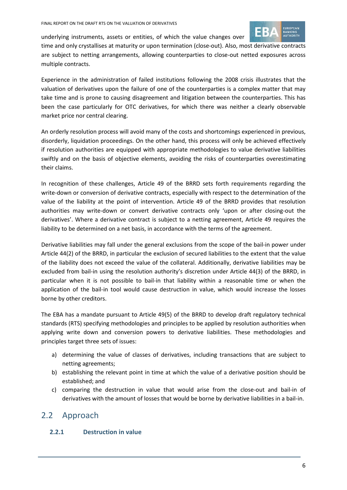

underlying instruments, assets or entities, of which the value changes over

time and only crystallises at maturity or upon termination (close-out). Also, most derivative contracts are subject to netting arrangements, allowing counterparties to close-out netted exposures across multiple contracts.

Experience in the administration of failed institutions following the 2008 crisis illustrates that the valuation of derivatives upon the failure of one of the counterparties is a complex matter that may take time and is prone to causing disagreement and litigation between the counterparties. This has been the case particularly for OTC derivatives, for which there was neither a clearly observable market price nor central clearing.

An orderly resolution process will avoid many of the costs and shortcomings experienced in previous, disorderly, liquidation proceedings. On the other hand, this process will only be achieved effectively if resolution authorities are equipped with appropriate methodologies to value derivative liabilities swiftly and on the basis of objective elements, avoiding the risks of counterparties overestimating their claims.

In recognition of these challenges, Article 49 of the BRRD sets forth requirements regarding the write-down or conversion of derivative contracts, especially with respect to the determination of the value of the liability at the point of intervention. Article 49 of the BRRD provides that resolution authorities may write-down or convert derivative contracts only 'upon or after closing-out the derivatives'. Where a derivative contract is subject to a netting agreement, Article 49 requires the liability to be determined on a net basis, in accordance with the terms of the agreement.

Derivative liabilities may fall under the general exclusions from the scope of the bail-in power under Article 44(2) of the BRRD, in particular the exclusion of secured liabilities to the extent that the value of the liability does not exceed the value of the collateral. Additionally, derivative liabilities may be excluded from bail-in using the resolution authority's discretion under Article 44(3) of the BRRD, in particular when it is not possible to bail-in that liability within a reasonable time or when the application of the bail-in tool would cause destruction in value, which would increase the losses borne by other creditors.

The EBA has a mandate pursuant to Article 49(5) of the BRRD to develop draft regulatory technical standards (RTS) specifying methodologies and principles to be applied by resolution authorities when applying write down and conversion powers to derivative liabilities. These methodologies and principles target three sets of issues:

- a) determining the value of classes of derivatives, including transactions that are subject to netting agreements;
- b) establishing the relevant point in time at which the value of a derivative position should be established; and
- c) comparing the destruction in value that would arise from the close-out and bail-in of derivatives with the amount of losses that would be borne by derivative liabilities in a bail-in.

## 2.2 Approach

## **2.2.1 Destruction in value**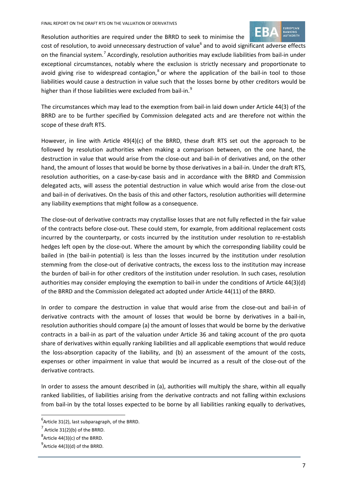



cost of resolution, to avoid unnecessary destruction of value<sup>[6](#page-6-0)</sup> and to avoid significant adverse effects on the financial system.<sup>[7](#page-6-1)</sup> Accordingly, resolution authorities may exclude liabilities from bail-in under exceptional circumstances, notably where the exclusion is strictly necessary and proportionate to avoid giving rise to widespread contagion, $^8$  $^8$  or where the application of the bail-in tool to those liabilities would cause a destruction in value such that the losses borne by other creditors would be higher than if those liabilities were excluded from bail-in.<sup>[9](#page-6-3)</sup>

The circumstances which may lead to the exemption from bail-in laid down under Article 44(3) of the BRRD are to be further specified by Commission delegated acts and are therefore not within the scope of these draft RTS.

However, in line with Article 49(4)(c) of the BRRD, these draft RTS set out the approach to be followed by resolution authorities when making a comparison between, on the one hand, the destruction in value that would arise from the close-out and bail-in of derivatives and, on the other hand, the amount of losses that would be borne by those derivatives in a bail-in. Under the draft RTS, resolution authorities, on a case-by-case basis and in accordance with the BRRD and Commission delegated acts, will assess the potential destruction in value which would arise from the close-out and bail-in of derivatives. On the basis of this and other factors, resolution authorities will determine any liability exemptions that might follow as a consequence.

The close-out of derivative contracts may crystallise losses that are not fully reflected in the fair value of the contracts before close-out. These could stem, for example, from additional replacement costs incurred by the counterparty, or costs incurred by the institution under resolution to re-establish hedges left open by the close-out. Where the amount by which the corresponding liability could be bailed in (the bail-in potential) is less than the losses incurred by the institution under resolution stemming from the close-out of derivative contracts, the excess loss to the institution may increase the burden of bail-in for other creditors of the institution under resolution. In such cases, resolution authorities may consider employing the exemption to bail-in under the conditions of Article 44(3)(d) of the BRRD and the Commission delegated act adopted under Article 44(11) of the BRRD.

In order to compare the destruction in value that would arise from the close-out and bail-in of derivative contracts with the amount of losses that would be borne by derivatives in a bail-in, resolution authorities should compare (a) the amount of losses that would be borne by the derivative contracts in a bail-in as part of the valuation under Article 36 and taking account of the pro quota share of derivatives within equally ranking liabilities and all applicable exemptions that would reduce the loss-absorption capacity of the liability, and (b) an assessment of the amount of the costs, expenses or other impairment in value that would be incurred as a result of the close-out of the derivative contracts.

In order to assess the amount described in (a), authorities will multiply the share, within all equally ranked liabilities, of liabilities arising from the derivative contracts and not falling within exclusions from bail-in by the total losses expected to be borne by all liabilities ranking equally to derivatives,

<span id="page-6-0"></span> $<sup>6</sup>$ Article 31(2), last subparagraph, of the BRRD.</sup>

<span id="page-6-1"></span> $7$  Article 31(2)(b) of the BRRD.

<span id="page-6-2"></span> ${}^{8}$ Article 44(3)(c) of the BRRD.

<span id="page-6-3"></span> $^9$ Article 44(3)(d) of the BRRD.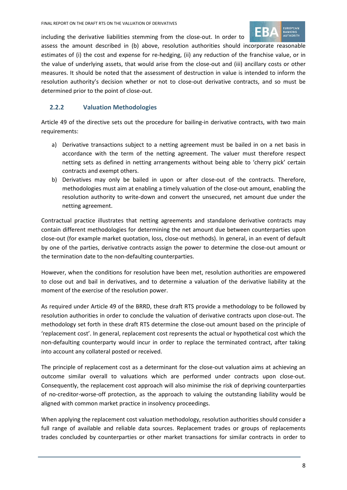



assess the amount described in (b) above, resolution authorities should incorporate reasonable estimates of (i) the cost and expense for re-hedging, (ii) any reduction of the franchise value, or in the value of underlying assets, that would arise from the close-out and (iii) ancillary costs or other measures. It should be noted that the assessment of destruction in value is intended to inform the resolution authority's decision whether or not to close-out derivative contracts, and so must be determined prior to the point of close-out.

## **2.2.2 Valuation Methodologies**

Article 49 of the directive sets out the procedure for bailing-in derivative contracts, with two main requirements:

- a) Derivative transactions subject to a netting agreement must be bailed in on a net basis in accordance with the term of the netting agreement. The valuer must therefore respect netting sets as defined in netting arrangements without being able to 'cherry pick' certain contracts and exempt others.
- b) Derivatives may only be bailed in upon or after close-out of the contracts. Therefore, methodologies must aim at enabling a timely valuation of the close-out amount, enabling the resolution authority to write-down and convert the unsecured, net amount due under the netting agreement.

Contractual practice illustrates that netting agreements and standalone derivative contracts may contain different methodologies for determining the net amount due between counterparties upon close-out (for example market quotation, loss, close-out methods). In general, in an event of default by one of the parties, derivative contracts assign the power to determine the close-out amount or the termination date to the non-defaulting counterparties.

However, when the conditions for resolution have been met, resolution authorities are empowered to close out and bail in derivatives, and to determine a valuation of the derivative liability at the moment of the exercise of the resolution power.

As required under Article 49 of the BRRD, these draft RTS provide a methodology to be followed by resolution authorities in order to conclude the valuation of derivative contracts upon close-out. The methodology set forth in these draft RTS determine the close-out amount based on the principle of 'replacement cost'. In general, replacement cost represents the actual or hypothetical cost which the non-defaulting counterparty would incur in order to replace the terminated contract, after taking into account any collateral posted or received.

The principle of replacement cost as a determinant for the close-out valuation aims at achieving an outcome similar overall to valuations which are performed under contracts upon close-out. Consequently, the replacement cost approach will also minimise the risk of depriving counterparties of no-creditor-worse-off protection, as the approach to valuing the outstanding liability would be aligned with common market practice in insolvency proceedings.

When applying the replacement cost valuation methodology, resolution authorities should consider a full range of available and reliable data sources. Replacement trades or groups of replacements trades concluded by counterparties or other market transactions for similar contracts in order to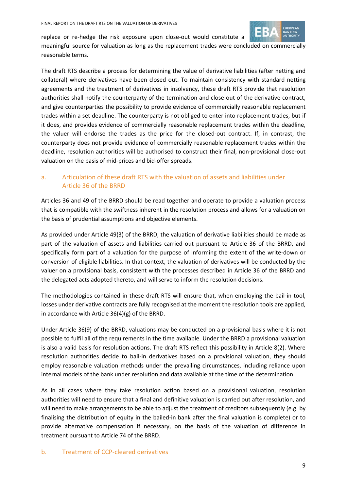

replace or re-hedge the risk exposure upon close-out would constitute a meaningful source for valuation as long as the replacement trades were concluded on commercially reasonable terms.

The draft RTS describe a process for determining the value of derivative liabilities (after netting and collateral) where derivatives have been closed out. To maintain consistency with standard netting agreements and the treatment of derivatives in insolvency, these draft RTS provide that resolution authorities shall notify the counterparty of the termination and close-out of the derivative contract, and give counterparties the possibility to provide evidence of commercially reasonable replacement trades within a set deadline. The counterparty is not obliged to enter into replacement trades, but if it does, and provides evidence of commercially reasonable replacement trades within the deadline, the valuer will endorse the trades as the price for the closed-out contract. If, in contrast, the counterparty does not provide evidence of commercially reasonable replacement trades within the deadline, resolution authorities will be authorised to construct their final, non-provisional close-out valuation on the basis of mid-prices and bid-offer spreads.

## a. Articulation of these draft RTS with the valuation of assets and liabilities under Article 36 of the BRRD

Articles 36 and 49 of the BRRD should be read together and operate to provide a valuation process that is compatible with the swiftness inherent in the resolution process and allows for a valuation on the basis of prudential assumptions and objective elements.

As provided under Article 49(3) of the BRRD, the valuation of derivative liabilities should be made as part of the valuation of assets and liabilities carried out pursuant to Article 36 of the BRRD, and specifically form part of a valuation for the purpose of informing the extent of the write-down or conversion of eligible liabilities. In that context, the valuation of derivatives will be conducted by the valuer on a provisional basis, consistent with the processes described in Article 36 of the BRRD and the delegated acts adopted thereto, and will serve to inform the resolution decisions.

The methodologies contained in these draft RTS will ensure that, when employing the bail-in tool, losses under derivative contracts are fully recognised at the moment the resolution tools are applied, in accordance with Article 36(4)(g) of the BRRD.

Under Article 36(9) of the BRRD, valuations may be conducted on a provisional basis where it is not possible to fulfil all of the requirements in the time available. Under the BRRD a provisional valuation is also a valid basis for resolution actions. The draft RTS reflect this possibility in Article 8(2). Where resolution authorities decide to bail-in derivatives based on a provisional valuation, they should employ reasonable valuation methods under the prevailing circumstances, including reliance upon internal models of the bank under resolution and data available at the time of the determination.

As in all cases where they take resolution action based on a provisional valuation, resolution authorities will need to ensure that a final and definitive valuation is carried out after resolution, and will need to make arrangements to be able to adjust the treatment of creditors subsequently (e.g. by finalising the distribution of equity in the bailed-in bank after the final valuation is complete) or to provide alternative compensation if necessary, on the basis of the valuation of difference in treatment pursuant to Article 74 of the BRRD.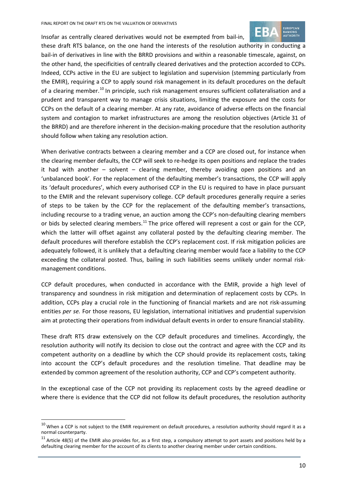

Insofar as centrally cleared derivatives would not be exempted from bail-in,

these draft RTS balance, on the one hand the interests of the resolution authority in conducting a bail-in of derivatives in line with the BRRD provisions and within a reasonable timescale, against, on the other hand, the specificities of centrally cleared derivatives and the protection accorded to CCPs. Indeed, CCPs active in the EU are subject to legislation and supervision (stemming particularly from the EMIR), requiring a CCP to apply sound risk management in its default procedures on the default of a clearing member.<sup>[10](#page-9-0)</sup> In principle, such risk management ensures sufficient collateralisation and a prudent and transparent way to manage crisis situations, limiting the exposure and the costs for CCPs on the default of a clearing member. At any rate, avoidance of adverse effects on the financial system and contagion to market infrastructures are among the resolution objectives (Article 31 of the BRRD) and are therefore inherent in the decision-making procedure that the resolution authority should follow when taking any resolution action.

When derivative contracts between a clearing member and a CCP are closed out, for instance when the clearing member defaults, the CCP will seek to re-hedge its open positions and replace the trades it had with another – solvent – clearing member, thereby avoiding open positions and an 'unbalanced book'. For the replacement of the defaulting member's transactions, the CCP will apply its 'default procedures', which every authorised CCP in the EU is required to have in place pursuant to the EMIR and the relevant supervisory college. CCP default procedures generally require a series of steps to be taken by the CCP for the replacement of the defaulting member's transactions, including recourse to a trading venue, an auction among the CCP's non-defaulting clearing members or bids by selected clearing members.<sup>[11](#page-9-1)</sup> The price offered will represent a cost or gain for the CCP, which the latter will offset against any collateral posted by the defaulting clearing member. The default procedures will therefore establish the CCP's replacement cost. If risk mitigation policies are adequately followed, it is unlikely that a defaulting clearing member would face a liability to the CCP exceeding the collateral posted. Thus, bailing in such liabilities seems unlikely under normal riskmanagement conditions.

CCP default procedures, when conducted in accordance with the EMIR, provide a high level of transparency and soundness in risk mitigation and determination of replacement costs by CCPs. In addition, CCPs play a crucial role in the functioning of financial markets and are not risk-assuming entities *per se.* For those reasons, EU legislation, international initiatives and prudential supervision aim at protecting their operations from individual default events in order to ensure financial stability.

These draft RTS draw extensively on the CCP default procedures and timelines. Accordingly, the resolution authority will notify its decision to close out the contract and agree with the CCP and its competent authority on a deadline by which the CCP should provide its replacement costs, taking into account the CCP's default procedures and the resolution timeline. That deadline may be extended by common agreement of the resolution authority, CCP and CCP's competent authority.

In the exceptional case of the CCP not providing its replacement costs by the agreed deadline or where there is evidence that the CCP did not follow its default procedures, the resolution authority

<span id="page-9-0"></span> $10$  When a CCP is not subject to the EMIR requirement on default procedures, a resolution authority should regard it as a normal counterparty.

<span id="page-9-1"></span> $11$  Article 48(5) of the EMIR also provides for, as a first step, a compulsory attempt to port assets and positions held by a defaulting clearing member for the account of its clients to another clearing member under certain conditions.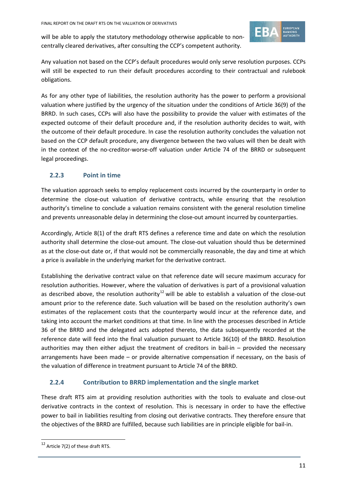

will be able to apply the statutory methodology otherwise applicable to noncentrally cleared derivatives, after consulting the CCP's competent authority.

Any valuation not based on the CCP's default procedures would only serve resolution purposes. CCPs will still be expected to run their default procedures according to their contractual and rulebook obligations.

As for any other type of liabilities, the resolution authority has the power to perform a provisional valuation where justified by the urgency of the situation under the conditions of Article 36(9) of the BRRD. In such cases, CCPs will also have the possibility to provide the valuer with estimates of the expected outcome of their default procedure and, if the resolution authority decides to wait, with the outcome of their default procedure. In case the resolution authority concludes the valuation not based on the CCP default procedure, any divergence between the two values will then be dealt with in the context of the no-creditor-worse-off valuation under Article 74 of the BRRD or subsequent legal proceedings.

## **2.2.3 Point in time**

The valuation approach seeks to employ replacement costs incurred by the counterparty in order to determine the close-out valuation of derivative contracts, while ensuring that the resolution authority's timeline to conclude a valuation remains consistent with the general resolution timeline and prevents unreasonable delay in determining the close-out amount incurred by counterparties.

Accordingly, Article 8(1) of the draft RTS defines a reference time and date on which the resolution authority shall determine the close-out amount. The close-out valuation should thus be determined as at the close-out date or, if that would not be commercially reasonable, the day and time at which a price is available in the underlying market for the derivative contract.

Establishing the derivative contract value on that reference date will secure maximum accuracy for resolution authorities. However, where the valuation of derivatives is part of a provisional valuation as described above, the resolution authority<sup>[12](#page-10-0)</sup> will be able to establish a valuation of the close-out amount prior to the reference date. Such valuation will be based on the resolution authority's own estimates of the replacement costs that the counterparty would incur at the reference date, and taking into account the market conditions at that time. In line with the processes described in Article 36 of the BRRD and the delegated acts adopted thereto, the data subsequently recorded at the reference date will feed into the final valuation pursuant to Article 36(10) of the BRRD. Resolution authorities may then either adjust the treatment of creditors in bail-in – provided the necessary arrangements have been made – or provide alternative compensation if necessary, on the basis of the valuation of difference in treatment pursuant to Article 74 of the BRRD.

### **2.2.4 Contribution to BRRD implementation and the single market**

These draft RTS aim at providing resolution authorities with the tools to evaluate and close-out derivative contracts in the context of resolution. This is necessary in order to have the effective power to bail in liabilities resulting from closing out derivative contracts. They therefore ensure that the objectives of the BRRD are fulfilled, because such liabilities are in principle eligible for bail-in.

<span id="page-10-0"></span><sup>&</sup>lt;sup>12</sup> Article 7(2) of these draft RTS.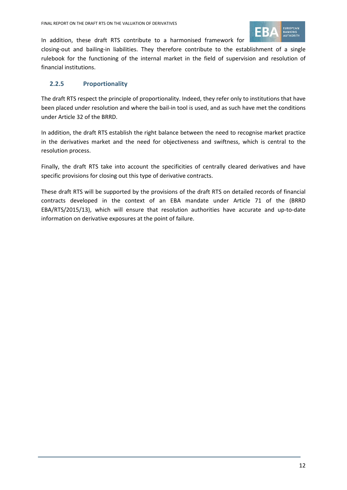

In addition, these draft RTS contribute to a harmonised framework for closing-out and bailing-in liabilities. They therefore contribute to the establishment of a single

rulebook for the functioning of the internal market in the field of supervision and resolution of financial institutions.

### **2.2.5 Proportionality**

The draft RTS respect the principle of proportionality. Indeed, they refer only to institutions that have been placed under resolution and where the bail-in tool is used, and as such have met the conditions under Article 32 of the BRRD.

In addition, the draft RTS establish the right balance between the need to recognise market practice in the derivatives market and the need for objectiveness and swiftness, which is central to the resolution process.

Finally, the draft RTS take into account the specificities of centrally cleared derivatives and have specific provisions for closing out this type of derivative contracts.

These draft RTS will be supported by the provisions of the draft RTS on detailed records of financial contracts developed in the context of an EBA mandate under Article 71 of the (BRRD EBA/RTS/2015/13), which will ensure that resolution authorities have accurate and up-to-date information on derivative exposures at the point of failure.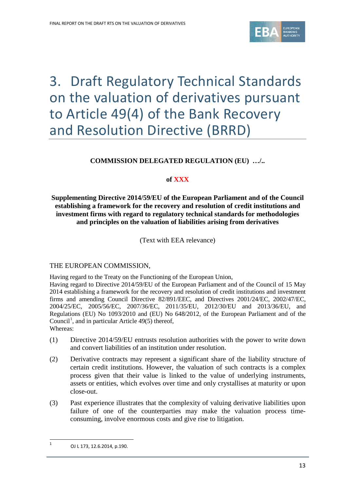

# <span id="page-12-0"></span>3. Draft Regulatory Technical Standards on the valuation of derivatives pursuant to Article 49(4) of the Bank Recovery and Resolution Directive (BRRD)

## **COMMISSION DELEGATED REGULATION (EU) …/..**

### **of XXX**

#### <span id="page-12-1"></span>**Supplementing Directive 2014/59/EU of the European Parliament and of the Council establishing a framework for the recovery and resolution of credit institutions and investment firms with regard to regulatory technical standards for methodologies and principles on the valuation of liabilities arising from derivatives**

(Text with EEA relevance)

#### THE EUROPEAN COMMISSION,

Having regard to the Treaty on the Functioning of the European Union,

Having regard to Directive 2014/59/EU of the European Parliament and of the Council of 15 May 2014 establishing a framework for the recovery and resolution of credit institutions and investment firms and amending Council Directive 82/891/EEC, and Directives 2001/24/EC, 2002/47/EC, 2004/25/EC, 2005/56/EC, 2007/36/EC, 2011/35/EU, 2012/30/EU and 2013/36/EU, and Regulations (EU) No 1093/2010 and (EU) No 648/2012, of the European Parliament and of the Council<sup>[1](#page-12-2)</sup>, and in particular Article 49(5) thereof, Whereas:

- (1) Directive 2014/59/EU entrusts resolution authorities with the power to write down and convert liabilities of an institution under resolution.
- (2) Derivative contracts may represent a significant share of the liability structure of certain credit institutions. However, the valuation of such contracts is a complex process given that their value is linked to the value of underlying instruments, assets or entities, which evolves over time and only crystallises at maturity or upon close-out.
- (3) Past experience illustrates that the complexity of valuing derivative liabilities upon failure of one of the counterparties may make the valuation process timeconsuming, involve enormous costs and give rise to litigation.

<span id="page-12-2"></span><sup>1</sup> OJ L 173, 12.6.2014, p.190.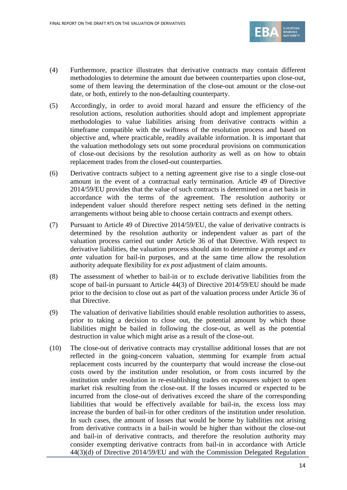

- (4) Furthermore, practice illustrates that derivative contracts may contain different methodologies to determine the amount due between counterparties upon close-out, some of them leaving the determination of the close-out amount or the close-out date, or both, entirely to the non-defaulting counterparty.
- (5) Accordingly, in order to avoid moral hazard and ensure the efficiency of the resolution actions, resolution authorities should adopt and implement appropriate methodologies to value liabilities arising from derivative contracts within a timeframe compatible with the swiftness of the resolution process and based on objective and, where practicable, readily available information. It is important that the valuation methodology sets out some procedural provisions on communication of close-out decisions by the resolution authority as well as on how to obtain replacement trades from the closed-out counterparties.
- (6) Derivative contracts subject to a netting agreement give rise to a single close-out amount in the event of a contractual early termination. Article 49 of Directive 2014/59/EU provides that the value of such contracts is determined on a net basis in accordance with the terms of the agreement. The resolution authority or independent valuer should therefore respect netting sets defined in the netting arrangements without being able to choose certain contracts and exempt others.
- (7) Pursuant to Article 49 of Directive 2014/59/EU, the value of derivative contracts is determined by the resolution authority or independent valuer as part of the valuation process carried out under Article 36 of that Directive. With respect to derivative liabilities, the valuation process should aim to determine a prompt and *ex ante* valuation for bail-in purposes, and at the same time allow the resolution authority adequate flexibility for *ex post* adjustment of claim amounts.
- (8) The assessment of whether to bail-in or to exclude derivative liabilities from the scope of bail-in pursuant to Article 44(3) of Directive 2014/59/EU should be made prior to the decision to close out as part of the valuation process under Article 36 of that Directive.
- (9) The valuation of derivative liabilities should enable resolution authorities to assess, prior to taking a decision to close out, the potential amount by which those liabilities might be bailed in following the close-out, as well as the potential destruction in value which might arise as a result of the close-out.
- (10) The close-out of derivative contracts may crystallise additional losses that are not reflected in the going-concern valuation, stemming for example from actual replacement costs incurred by the counterparty that would increase the close-out costs owed by the institution under resolution, or from costs incurred by the institution under resolution in re-establishing trades on exposures subject to open market risk resulting from the close-out. If the losses incurred or expected to be incurred from the close-out of derivatives exceed the share of the corresponding liabilities that would be effectively available for bail-in, the excess loss may increase the burden of bail-in for other creditors of the institution under resolution. In such cases, the amount of losses that would be borne by liabilities not arising from derivative contracts in a bail-in would be higher than without the close-out and bail-in of derivative contracts, and therefore the resolution authority may consider exempting derivative contracts from bail-in in accordance with Article 44(3)(d) of Directive 2014/59/EU and with the Commission Delegated Regulation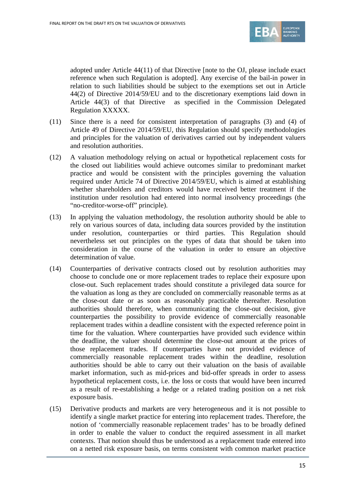

adopted under Article 44(11) of that Directive [note to the OJ, please include exact reference when such Regulation is adopted]. Any exercise of the bail-in power in relation to such liabilities should be subject to the exemptions set out in Article 44(2) of Directive 2014/59/EU and to the discretionary exemptions laid down in Article 44(3) of that Directive as specified in the Commission Delegated Regulation XXXXX.

- (11) Since there is a need for consistent interpretation of paragraphs (3) and (4) of Article 49 of Directive 2014/59/EU, this Regulation should specify methodologies and principles for the valuation of derivatives carried out by independent valuers and resolution authorities.
- (12) A valuation methodology relying on actual or hypothetical replacement costs for the closed out liabilities would achieve outcomes similar to predominant market practice and would be consistent with the principles governing the valuation required under Article 74 of Directive 2014/59/EU, which is aimed at establishing whether shareholders and creditors would have received better treatment if the institution under resolution had entered into normal insolvency proceedings (the "no-creditor-worse-off" principle).
- (13) In applying the valuation methodology, the resolution authority should be able to rely on various sources of data, including data sources provided by the institution under resolution, counterparties or third parties. This Regulation should nevertheless set out principles on the types of data that should be taken into consideration in the course of the valuation in order to ensure an objective determination of value.
- (14) Counterparties of derivative contracts closed out by resolution authorities may choose to conclude one or more replacement trades to replace their exposure upon close-out. Such replacement trades should constitute a privileged data source for the valuation as long as they are concluded on commercially reasonable terms as at the close-out date or as soon as reasonably practicable thereafter. Resolution authorities should therefore, when communicating the close-out decision, give counterparties the possibility to provide evidence of commercially reasonable replacement trades within a deadline consistent with the expected reference point in time for the valuation. Where counterparties have provided such evidence within the deadline, the valuer should determine the close-out amount at the prices of those replacement trades. If counterparties have not provided evidence of commercially reasonable replacement trades within the deadline, resolution authorities should be able to carry out their valuation on the basis of available market information, such as mid-prices and bid-offer spreads in order to assess hypothetical replacement costs, i.e. the loss or costs that would have been incurred as a result of re-establishing a hedge or a related trading position on a net risk exposure basis.
- (15) Derivative products and markets are very heterogeneous and it is not possible to identify a single market practice for entering into replacement trades. Therefore, the notion of 'commercially reasonable replacement trades' has to be broadly defined in order to enable the valuer to conduct the required assessment in all market contexts. That notion should thus be understood as a replacement trade entered into on a netted risk exposure basis, on terms consistent with common market practice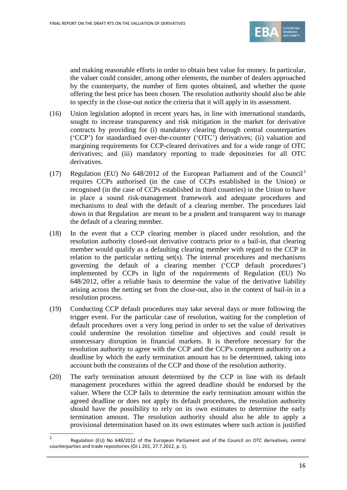

and making reasonable efforts in order to obtain best value for money. In particular, the valuer could consider, among other elements, the number of dealers approached by the counterparty, the number of firm quotes obtained, and whether the quote offering the best price has been chosen. The resolution authority should also be able to specify in the close-out notice the criteria that it will apply in its assessment.

- (16) Union legislation adopted in recent years has, in line with international standards, sought to increase transparency and risk mitigation in the market for derivative contracts by providing for (i) mandatory clearing through central counterparties ('CCP') for standardised over-the-counter ('OTC') derivatives; (ii) valuation and margining requirements for CCP-cleared derivatives and for a wide range of OTC derivatives; and (iii) mandatory reporting to trade depositories for all OTC derivatives.
- (17) Regulation (EU) No  $648/2012$  $648/2012$  $648/2012$  of the European Parliament and of the Council<sup>2</sup> requires CCPs authorised (in the case of CCPs established in the Union) or recognised (in the case of CCPs established in third countries) in the Union to have in place a sound risk-management framework and adequate procedures and mechanisms to deal with the default of a clearing member. The procedures laid down in that Regulation are meant to be a prudent and transparent way to manage the default of a clearing member.
- (18) In the event that a CCP clearing member is placed under resolution, and the resolution authority closed-out derivative contracts prior to a bail-in, that clearing member would qualify as a defaulting clearing member with regard to the CCP in relation to the particular netting set(s). The internal procedures and mechanisms governing the default of a clearing member ('CCP default procedures') implemented by CCPs in light of the requirements of Regulation (EU) No 648/2012, offer a reliable basis to determine the value of the derivative liability arising across the netting set from the close-out, also in the context of bail-in in a resolution process.
- (19) Conducting CCP default procedures may take several days or more following the trigger event. For the particular case of resolution, waiting for the completion of default procedures over a very long period in order to set the value of derivatives could undermine the resolution timeline and objectives and could result in unnecessary disruption in financial markets. It is therefore necessary for the resolution authority to agree with the CCP and the CCP's competent authority on a deadline by which the early termination amount has to be determined, taking into account both the constraints of the CCP and those of the resolution authority.
- (20) The early termination amount determined by the CCP in line with its default management procedures within the agreed deadline should be endorsed by the valuer. Where the CCP fails to determine the early termination amount within the agreed deadline or does not apply its default procedures, the resolution authority should have the possibility to rely on its own estimates to determine the early termination amount. The resolution authority should also be able to apply a provisional determination based on its own estimates where such action is justified

<span id="page-15-0"></span><sup>2</sup> Regulation (EU) No 648/2012 of the European Parliament and of the Council on OTC derivatives, central counterparties and trade repositories (OJ L 201, 27.7.2012, p. 1).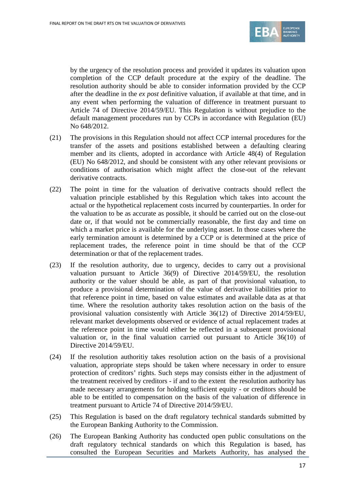

by the urgency of the resolution process and provided it updates its valuation upon completion of the CCP default procedure at the expiry of the deadline. The resolution authority should be able to consider information provided by the CCP after the deadline in the *ex post* definitive valuation, if available at that time, and in any event when performing the valuation of difference in treatment pursuant to Article 74 of Directive 2014/59/EU. This Regulation is without prejudice to the default management procedures run by CCPs in accordance with Regulation (EU) No 648/2012.

- (21) The provisions in this Regulation should not affect CCP internal procedures for the transfer of the assets and positions established between a defaulting clearing member and its clients, adopted in accordance with Article 48(4) of Regulation (EU) No 648/2012, and should be consistent with any other relevant provisions or conditions of authorisation which might affect the close-out of the relevant derivative contracts.
- (22) The point in time for the valuation of derivative contracts should reflect the valuation principle established by this Regulation which takes into account the actual or the hypothetical replacement costs incurred by counterparties. In order for the valuation to be as accurate as possible, it should be carried out on the close-out date or, if that would not be commercially reasonable, the first day and time on which a market price is available for the underlying asset. In those cases where the early termination amount is determined by a CCP or is determined at the price of replacement trades, the reference point in time should be that of the CCP determination or that of the replacement trades.
- (23) If the resolution authority, due to urgency, decides to carry out a provisional valuation pursuant to Article 36(9) of Directive 2014/59/EU, the resolution authority or the valuer should be able, as part of that provisional valuation, to produce a provisional determination of the value of derivative liabilities prior to that reference point in time, based on value estimates and available data as at that time. Where the resolution authority takes resolution action on the basis of the provisional valuation consistently with Article 36(12) of Directive 2014/59/EU, relevant market developments observed or evidence of actual replacement trades at the reference point in time would either be reflected in a subsequent provisional valuation or, in the final valuation carried out pursuant to Article 36(10) of Directive 2014/59/EU.
- (24) If the resolution authoritiy takes resolution action on the basis of a provisional valuation, appropriate steps should be taken where necessary in order to ensure protection of creditors' rights. Such steps may consists either in the adjustment of the treatment received by creditors - if and to the extent the resolution authority has made necessary arrangements for holding sufficient equity - or creditors should be able to be entitled to compensation on the basis of the valuation of difference in treatment pursuant to Article 74 of Directive 2014/59/EU.
- (25) This Regulation is based on the draft regulatory technical standards submitted by the European Banking Authority to the Commission.
- (26) The European Banking Authority has conducted open public consultations on the draft regulatory technical standards on which this Regulation is based, has consulted the European Securities and Markets Authority, has analysed the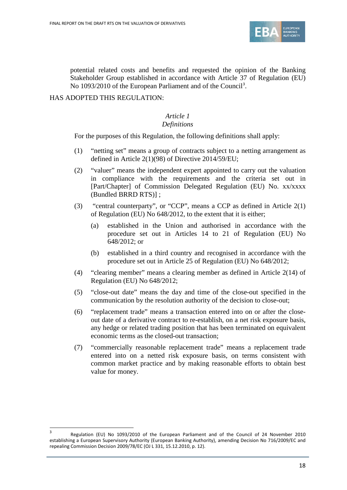

potential related costs and benefits and requested the opinion of the Banking Stakeholder Group established in accordance with Article 37 of Regulation (EU) No 109[3](#page-17-0)/2010 of the European Parliament and of the Council<sup>3</sup>.

### HAS ADOPTED THIS REGULATION:

 $\overline{a}$ 

# *Article 1*

## *Definitions*

For the purposes of this Regulation, the following definitions shall apply:

- (1) "netting set" means a group of contracts subject to a netting arrangement as defined in Article 2(1)(98) of Directive 2014/59/EU;
- (2) "valuer" means the independent expert appointed to carry out the valuation in compliance with the requirements and the criteria set out in [Part/Chapter] of Commission Delegated Regulation (EU) No. xx/xxxx (Bundled BRRD RTS)] ;
- (3) "central counterparty", or "CCP", means a CCP as defined in Article 2(1) of Regulation (EU) No 648/2012, to the extent that it is either;
	- (a) established in the Union and authorised in accordance with the procedure set out in Articles 14 to 21 of Regulation (EU) No 648/2012; or
	- (b) established in a third country and recognised in accordance with the procedure set out in Article 25 of Regulation (EU) No 648/2012;
- (4) "clearing member" means a clearing member as defined in Article 2(14) of Regulation (EU) No 648/2012;
- (5) "close-out date" means the day and time of the close-out specified in the communication by the resolution authority of the decision to close-out;
- (6) "replacement trade" means a transaction entered into on or after the closeout date of a derivative contract to re-establish, on a net risk exposure basis, any hedge or related trading position that has been terminated on equivalent economic terms as the closed-out transaction;
- (7) "commercially reasonable replacement trade" means a replacement trade entered into on a netted risk exposure basis, on terms consistent with common market practice and by making reasonable efforts to obtain best value for money.

<span id="page-17-0"></span><sup>3</sup> Regulation (EU) No 1093/2010 of the European Parliament and of the Council of 24 November 2010 establishing a European Supervisory Authority (European Banking Authority), amending Decision No 716/2009/EC and repealing Commission Decision 2009/78/EC (OJ L 331, 15.12.2010, p. 12).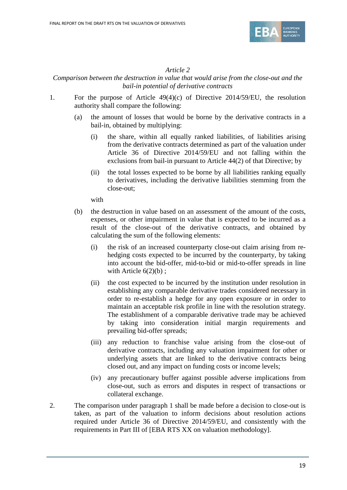

### *Article 2*

### *Comparison between the destruction in value that would arise from the close-out and the bail-in potential of derivative contracts*

- 1. For the purpose of Article 49(4)(c) of Directive 2014/59/EU, the resolution authority shall compare the following:
	- (a) the amount of losses that would be borne by the derivative contracts in a bail-in, obtained by multiplying:
		- (i) the share, within all equally ranked liabilities, of liabilities arising from the derivative contracts determined as part of the valuation under Article 36 of Directive 2014/59/EU and not falling within the exclusions from bail-in pursuant to Article 44(2) of that Directive; by
		- (ii) the total losses expected to be borne by all liabilities ranking equally to derivatives, including the derivative liabilities stemming from the close-out;

with

- (b) the destruction in value based on an assessment of the amount of the costs, expenses, or other impairment in value that is expected to be incurred as a result of the close-out of the derivative contracts, and obtained by calculating the sum of the following elements:
	- (i) the risk of an increased counterparty close-out claim arising from rehedging costs expected to be incurred by the counterparty, by taking into account the bid-offer, mid-to-bid or mid-to-offer spreads in line with Article  $6(2)(b)$ ;
	- (ii) the cost expected to be incurred by the institution under resolution in establishing any comparable derivative trades considered necessary in order to re-establish a hedge for any open exposure or in order to maintain an acceptable risk profile in line with the resolution strategy. The establishment of a comparable derivative trade may be achieved by taking into consideration initial margin requirements and prevailing bid-offer spreads;
	- (iii) any reduction to franchise value arising from the close-out of derivative contracts, including any valuation impairment for other or underlying assets that are linked to the derivative contracts being closed out, and any impact on funding costs or income levels;
	- (iv) any precautionary buffer against possible adverse implications from close-out, such as errors and disputes in respect of transactions or collateral exchange.
- 2. The comparison under paragraph 1 shall be made before a decision to close-out is taken, as part of the valuation to inform decisions about resolution actions required under Article 36 of Directive 2014/59/EU, and consistently with the requirements in Part III of [EBA RTS XX on valuation methodology].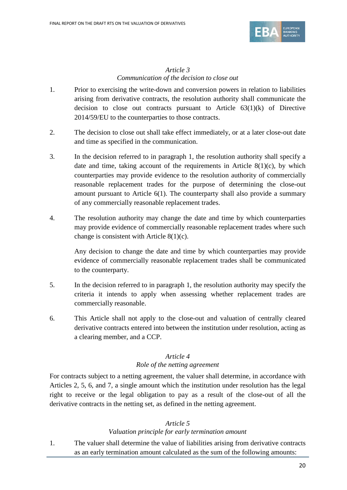

## *Article 3 Communication of the decision to close out*

- 1. Prior to exercising the write-down and conversion powers in relation to liabilities arising from derivative contracts, the resolution authority shall communicate the decision to close out contracts pursuant to Article  $63(1)(k)$  of Directive 2014/59/EU to the counterparties to those contracts.
- 2. The decision to close out shall take effect immediately, or at a later close-out date and time as specified in the communication.
- 3. In the decision referred to in paragraph 1, the resolution authority shall specify a date and time, taking account of the requirements in Article  $8(1)(c)$ , by which counterparties may provide evidence to the resolution authority of commercially reasonable replacement trades for the purpose of determining the close-out amount pursuant to Article 6(1). The counterparty shall also provide a summary of any commercially reasonable replacement trades.
- 4. The resolution authority may change the date and time by which counterparties may provide evidence of commercially reasonable replacement trades where such change is consistent with Article 8(1)(c).

Any decision to change the date and time by which counterparties may provide evidence of commercially reasonable replacement trades shall be communicated to the counterparty.

- 5. In the decision referred to in paragraph 1, the resolution authority may specify the criteria it intends to apply when assessing whether replacement trades are commercially reasonable.
- 6. This Article shall not apply to the close-out and valuation of centrally cleared derivative contracts entered into between the institution under resolution, acting as a clearing member, and a CCP.

### *Article 4*

### *Role of the netting agreement*

For contracts subject to a netting agreement, the valuer shall determine, in accordance with Articles 2, 5, 6, and 7, a single amount which the institution under resolution has the legal right to receive or the legal obligation to pay as a result of the close-out of all the derivative contracts in the netting set, as defined in the netting agreement.

#### *Article 5*

### *Valuation principle for early termination amount*

1. The valuer shall determine the value of liabilities arising from derivative contracts as an early termination amount calculated as the sum of the following amounts: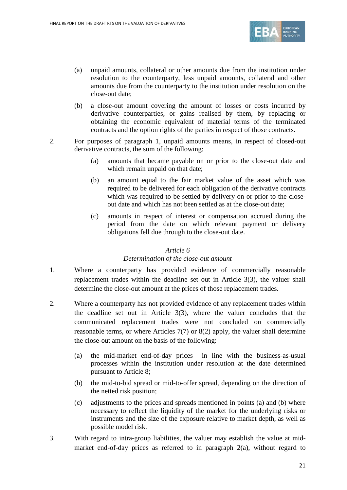

- (a) unpaid amounts, collateral or other amounts due from the institution under resolution to the counterparty, less unpaid amounts, collateral and other amounts due from the counterparty to the institution under resolution on the close-out date;
- (b) a close-out amount covering the amount of losses or costs incurred by derivative counterparties, or gains realised by them, by replacing or obtaining the economic equivalent of material terms of the terminated contracts and the option rights of the parties in respect of those contracts.
- 2. For purposes of paragraph 1, unpaid amounts means, in respect of closed-out derivative contracts, the sum of the following:
	- (a) amounts that became payable on or prior to the close-out date and which remain unpaid on that date;
	- (b) an amount equal to the fair market value of the asset which was required to be delivered for each obligation of the derivative contracts which was required to be settled by delivery on or prior to the closeout date and which has not been settled as at the close-out date;
	- (c) amounts in respect of interest or compensation accrued during the period from the date on which relevant payment or delivery obligations fell due through to the close-out date.

#### *Article 6*

#### *Determination of the close-out amount*

- 1. Where a counterparty has provided evidence of commercially reasonable replacement trades within the deadline set out in Article 3(3), the valuer shall determine the close-out amount at the prices of those replacement trades.
- 2. Where a counterparty has not provided evidence of any replacement trades within the deadline set out in Article 3(3), where the valuer concludes that the communicated replacement trades were not concluded on commercially reasonable terms, or where Articles 7(7) or 8(2) apply, the valuer shall determine the close-out amount on the basis of the following:
	- (a) the mid-market end-of-day prices in line with the business-as-usual processes within the institution under resolution at the date determined pursuant to Article 8;
	- (b) the mid-to-bid spread or mid-to-offer spread, depending on the direction of the netted risk position;
	- (c) adjustments to the prices and spreads mentioned in points (a) and (b) where necessary to reflect the liquidity of the market for the underlying risks or instruments and the size of the exposure relative to market depth, as well as possible model risk.
- 3. With regard to intra-group liabilities, the valuer may establish the value at midmarket end-of-day prices as referred to in paragraph 2(a), without regard to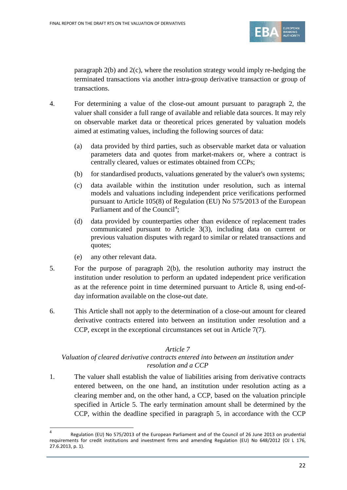

paragraph 2(b) and 2(c), where the resolution strategy would imply re-hedging the terminated transactions via another intra-group derivative transaction or group of transactions.

- 4. For determining a value of the close-out amount pursuant to paragraph 2, the valuer shall consider a full range of available and reliable data sources. It may rely on observable market data or theoretical prices generated by valuation models aimed at estimating values, including the following sources of data:
	- (a) data provided by third parties, such as observable market data or valuation parameters data and quotes from market-makers or, where a contract is centrally cleared, values or estimates obtained from CCPs;
	- (b) for standardised products, valuations generated by the valuer's own systems;
	- (c) data available within the institution under resolution, such as internal models and valuations including independent price verifications performed pursuant to Article 105(8) of Regulation (EU) No 575/2013 of the European Parliament and of the Council<sup>[4](#page-21-0)</sup>;
	- (d) data provided by counterparties other than evidence of replacement trades communicated pursuant to Article 3(3), including data on current or previous valuation disputes with regard to similar or related transactions and quotes;
	- (e) any other relevant data.

 $\overline{a}$ 

- 5. For the purpose of paragraph 2(b), the resolution authority may instruct the institution under resolution to perform an updated independent price verification as at the reference point in time determined pursuant to Article 8, using end-ofday information available on the close-out date.
- 6. This Article shall not apply to the determination of a close-out amount for cleared derivative contracts entered into between an institution under resolution and a CCP, except in the exceptional circumstances set out in Article 7(7).

#### *Article 7*

### *Valuation of cleared derivative contracts entered into between an institution under resolution and a CCP*

1. The valuer shall establish the value of liabilities arising from derivative contracts entered between, on the one hand, an institution under resolution acting as a clearing member and, on the other hand, a CCP, based on the valuation principle specified in Article 5. The early termination amount shall be determined by the CCP, within the deadline specified in paragraph 5, in accordance with the CCP

<span id="page-21-0"></span>Regulation (EU) No 575/2013 of the European Parliament and of the Council of 26 June 2013 on prudential requirements for credit institutions and investment firms and amending Regulation (EU) No 648/2012 (OJ L 176, 27.6.2013, p. 1).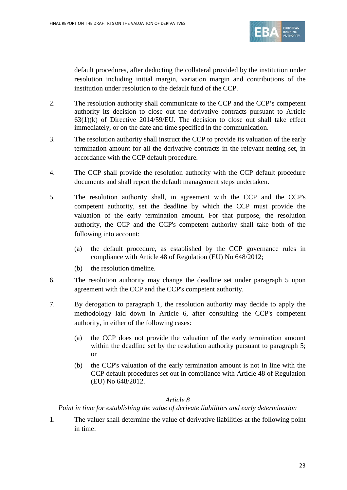

default procedures, after deducting the collateral provided by the institution under resolution including initial margin, variation margin and contributions of the institution under resolution to the default fund of the CCP.

- 2. The resolution authority shall communicate to the CCP and the CCP's competent authority its decision to close out the derivative contracts pursuant to Article 63(1)(k) of Directive 2014/59/EU. The decision to close out shall take effect immediately, or on the date and time specified in the communication.
- 3. The resolution authority shall instruct the CCP to provide its valuation of the early termination amount for all the derivative contracts in the relevant netting set, in accordance with the CCP default procedure.
- 4. The CCP shall provide the resolution authority with the CCP default procedure documents and shall report the default management steps undertaken.
- 5. The resolution authority shall, in agreement with the CCP and the CCP's competent authority, set the deadline by which the CCP must provide the valuation of the early termination amount. For that purpose, the resolution authority, the CCP and the CCP's competent authority shall take both of the following into account:
	- (a) the default procedure, as established by the CCP governance rules in compliance with Article 48 of Regulation (EU) No 648/2012;
	- (b) the resolution timeline.
- 6. The resolution authority may change the deadline set under paragraph 5 upon agreement with the CCP and the CCP's competent authority.
- 7. By derogation to paragraph 1, the resolution authority may decide to apply the methodology laid down in Article 6, after consulting the CCP's competent authority, in either of the following cases:
	- (a) the CCP does not provide the valuation of the early termination amount within the deadline set by the resolution authority pursuant to paragraph 5; or
	- (b) the CCP's valuation of the early termination amount is not in line with the CCP default procedures set out in compliance with Article 48 of Regulation (EU) No 648/2012.

#### *Article 8*

*Point in time for establishing the value of derivate liabilities and early determination*

1. The valuer shall determine the value of derivative liabilities at the following point in time: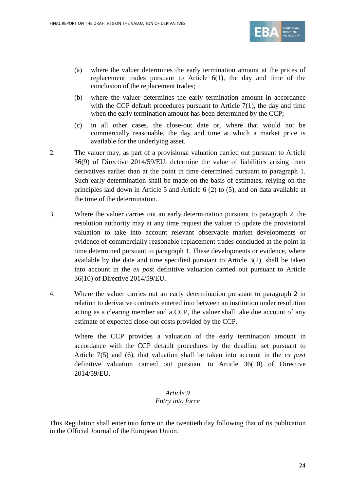

- (a) where the valuer determines the early termination amount at the prices of replacement trades pursuant to Article 6(1), the day and time of the conclusion of the replacement trades;
- (b) where the valuer determines the early termination amount in accordance with the CCP default procedures pursuant to Article 7(1), the day and time when the early termination amount has been determined by the CCP;
- (c) in all other cases, the close-out date or, where that would not be commercially reasonable, the day and time at which a market price is available for the underlying asset.
- 2. The valuer may, as part of a provisional valuation carried out pursuant to Article 36(9) of Directive 2014/59/EU, determine the value of liabilities arising from derivatives earlier than at the point in time determined pursuant to paragraph 1. Such early determination shall be made on the basis of estimates, relying on the principles laid down in Article 5 and Article 6 (2) to (5), and on data available at the time of the determination.
- 3. Where the valuer carries out an early determination pursuant to paragraph 2, the resolution authority may at any time request the valuer to update the provisional valuation to take into account relevant observable market developments or evidence of commercially reasonable replacement trades concluded at the point in time determined pursuant to paragraph 1. These developments or evidence, where available by the date and time specified pursuant to Article 3(2), shall be taken into account in the *ex post* definitive valuation carried out pursuant to Article 36(10) of Directive 2014/59/EU.
- 4. Where the valuer carries out an early determination pursuant to paragraph 2 in relation to derivative contracts entered into between an institution under resolution acting as a clearing member and a CCP, the valuer shall take due account of any estimate of expected close-out costs provided by the CCP.

Where the CCP provides a valuation of the early termination amount in accordance with the CCP default procedures by the deadline set pursuant to Article 7(5) and (6), that valuation shall be taken into account in the *ex post* definitive valuation carried out pursuant to Article 36(10) of Directive 2014/59/EU.

## *Article 9 Entry into force*

This Regulation shall enter into force on the twentieth day following that of its publication in the Official Journal of the European Union.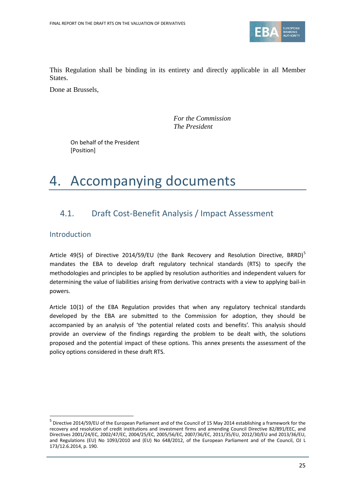

This Regulation shall be binding in its entirety and directly applicable in all Member States.

Done at Brussels,

*For the Commission The President*

On behalf of the President [Position]

# 4. Accompanying documents

## <span id="page-24-0"></span>4.1. Draft Cost-Benefit Analysis / Impact Assessment

Introduction

 $\overline{a}$ 

Article 49([5](#page-24-1)) of Directive 2014/59/EU (the Bank Recovery and Resolution Directive, BRRD)<sup>5</sup> mandates the EBA to develop draft regulatory technical standards (RTS) to specify the methodologies and principles to be applied by resolution authorities and independent valuers for determining the value of liabilities arising from derivative contracts with a view to applying bail-in powers.

Article 10(1) of the EBA Regulation provides that when any regulatory technical standards developed by the EBA are submitted to the Commission for adoption, they should be accompanied by an analysis of 'the potential related costs and benefits'. This analysis should provide an overview of the findings regarding the problem to be dealt with, the solutions proposed and the potential impact of these options. This annex presents the assessment of the policy options considered in these draft RTS.

<span id="page-24-1"></span><sup>5</sup> Directive 2014/59/EU of the European Parliament and of the Council of 15 May 2014 establishing a framework for the recovery and resolution of credit institutions and investment firms and amending Council Directive 82/891/EEC, and Directives 2001/24/EC, 2002/47/EC, 2004/25/EC, 2005/56/EC, 2007/36/EC, 2011/35/EU, 2012/30/EU and 2013/36/EU, and Regulations (EU) No 1093/2010 and (EU) No 648/2012, of the European Parliament and of the Council, OJ L 173/12.6.2014, p. 190.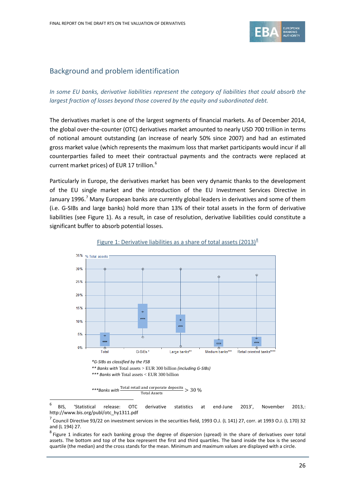

## Background and problem identification

### *In some EU banks, derivative liabilities represent the category of liabilities that could absorb the largest fraction of losses beyond those covered by the equity and subordinated debt.*

The derivatives market is one of the largest segments of financial markets. As of December 2014, the global over-the-counter (OTC) derivatives market amounted to nearly USD 700 trillion in terms of notional amount outstanding (an increase of nearly 50% since 2007) and had an estimated gross market value (which represents the maximum loss that market participants would incur if all counterparties failed to meet their contractual payments and the contracts were replaced at current market prices) of EUR 17 trillion.<sup>[6](#page-25-0)</sup>

Particularly in Europe, the derivatives market has been very dynamic thanks to the development of the EU single market and the introduction of the EU Investment Services Directive in January 1996.<sup>[7](#page-25-1)</sup> Many European banks are currently global leaders in derivatives and some of them (i.e. G-SIBs and large banks) hold more than 13% of their total assets in the form of derivative liabilities (see Figure 1). As a result, in case of resolution, derivative liabilities could constitute a significant buffer to absorb potential losses.



#### Figure 1: Derivative liabilities as a share of total assets  $(2013)^8$  $(2013)^8$

*\*\* Banks with* Total assets > EUR 300 billion *(including G-SIBs)*

*\*\*\* Banks with* Total assets < EUR 300 billion

 $\overline{a}$ 

\*\*\*Banks with  $\frac{1 \text{ total} \text{ actual} \text{ and } \text{ corporate} \text{ deposits}}{\text{Total Assets}} > 30\%$ 

<span id="page-25-0"></span> $6$  BIS, 'Statistical release: OTC derivative statistics at end-June 2013', November 2013,: [http://www.bis.org/publ/otc\\_hy1311.pdf](http://www.bis.org/publ/otc_hy1311.pdf)

<span id="page-25-1"></span> $^7$  Council Directive 93/22 on investment services in the securities field, 1993 O.J. (L 141) 27, corr. at 1993 O.J. (L 170) 32 and (L 194) 27.

<span id="page-25-2"></span> $^8$  Figure 1 indicates for each banking group the degree of [dispersion](http://en.wikipedia.org/wiki/Statistical_dispersion) (spread) in the share of derivatives over total assets. The bottom and top of the box represent the first and third [quartiles.](http://en.wikipedia.org/wiki/Quartile) The band inside the box is the second [quartile](http://en.wikipedia.org/wiki/Quartile) (the [median\)](http://en.wikipedia.org/wiki/Median) and the cross stands for the mean. Minimum and maximum values are displayed with a circle.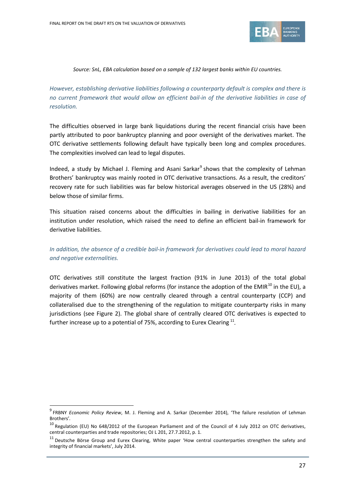

#### *Source: SnL, EBA calculation based on a sample of 132 largest banks within EU countries.*

*However, establishing derivative liabilities following a counterparty default is complex and there is no current framework that would allow an efficient bail-in of the derivative liabilities in case of resolution.* 

The difficulties observed in large bank liquidations during the recent financial crisis have been partly attributed to poor bankruptcy planning and poor oversight of the derivatives market. The OTC derivative settlements following default have typically been long and complex procedures. The complexities involved can lead to legal disputes.

Indeed, a study by Michael J. Fleming and Asani Sarkar<sup>[9](#page-26-0)</sup> shows that the complexity of Lehman Brothers' bankruptcy was mainly rooted in OTC derivative transactions. As a result, the creditors' recovery rate for such liabilities was far below historical averages observed in the US (28%) and below those of similar firms.

This situation raised concerns about the difficulties in bailing in derivative liabilities for an institution under resolution, which raised the need to define an efficient bail-in framework for derivative liabilities.

*In addition, the absence of a credible bail-in framework for derivatives could lead to moral hazard and negative externalities.*

OTC derivatives still constitute the largest fraction (91% in June 2013) of the total global derivatives market. Following global reforms (for instance the adoption of the EMIR<sup>[10](#page-26-1)</sup> in the EU), a majority of them (60%) are now centrally cleared through a central counterparty (CCP) and collateralised due to the strengthening of the regulation to mitigate counterparty risks in many jurisdictions (see Figure 2). The global share of centrally cleared OTC derivatives is expected to further increase up to a potential of 75%, according to Eurex Clearing [11](#page-26-2)*.*

<span id="page-26-0"></span><sup>9</sup> FRBNY *Economic Policy Review*, M. J. Fleming and A. Sarkar (December 2014), 'The failure resolution of Lehman Brothers'*.*

<span id="page-26-1"></span><sup>&</sup>lt;sup>10</sup> Regulation (EU) No 648/2012 of the European Parliament and of the Council of 4 July 2012 on OTC derivatives, central counterparties and trade repositories; OJ L 201, 27.7.2012, p. 1.

<span id="page-26-2"></span><sup>&</sup>lt;sup>11</sup> Deutsche Börse Group and Eurex Clearing, White paper 'How central counterparties strengthen the safety and integrity of financial markets', July 2014.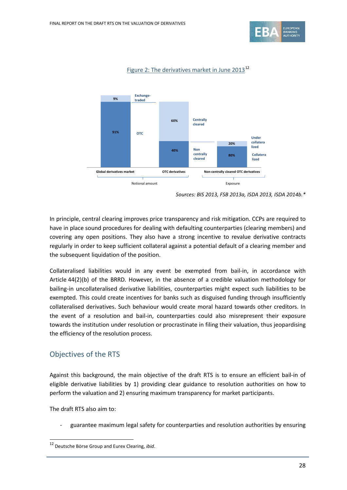



#### Figure 2: The derivatives market in June 2013<sup>[12](#page-27-0)</sup>

In principle, central clearing improves price transparency and risk mitigation. CCPs are required to have in place sound procedures for dealing with defaulting counterparties (clearing members) and covering any open positions. They also have a strong incentive to revalue derivative contracts regularly in order to keep sufficient collateral against a potential default of a clearing member and the subsequent liquidation of the position.

Collateralised liabilities would in any event be exempted from bail-in, in accordance with Article 44(2)(b) of the BRRD. However, in the absence of a credible valuation methodology for bailing-in uncollateralised derivative liabilities, counterparties might expect such liabilities to be exempted. This could create incentives for banks such as disguised funding through insufficiently collateralised derivatives. Such behaviour would create moral hazard towards other creditors. In the event of a resolution and bail-in, counterparties could also misrepresent their exposure towards the institution under resolution or procrastinate in filing their valuation, thus jeopardising the efficiency of the resolution process.

## Objectives of the RTS

Against this background, the main objective of the draft RTS is to ensure an efficient bail-in of eligible derivative liabilities by 1) providing clear guidance to resolution authorities on how to perform the valuation and 2) ensuring maximum transparency for market participants.

The draft RTS also aim to:

 $\overline{a}$ 

guarantee maximum legal safety for counterparties and resolution authorities by ensuring

*Sources: BIS 2013, FSB 2013a, ISDA 2013, ISDA 2014b.\**

<span id="page-27-0"></span><sup>12</sup> Deutsche Börse Group and Eurex Clearing, *ibid*.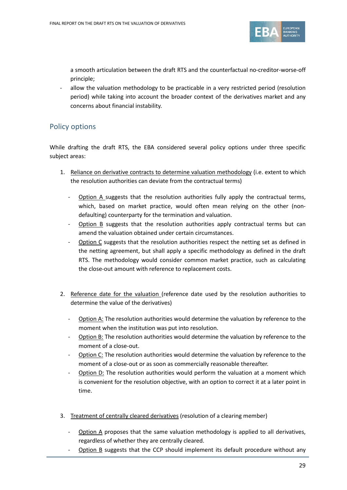

a smooth articulation between the draft RTS and the counterfactual no-creditor-worse-off principle;

- allow the valuation methodology to be practicable in a very restricted period (resolution period) while taking into account the broader context of the derivatives market and any concerns about financial instability.

## Policy options

While drafting the draft RTS, the EBA considered several policy options under three specific subject areas:

- 1. Reliance on derivative contracts to determine valuation methodology (i.e. extent to which the resolution authorities can deviate from the contractual terms)
	- **Option A** suggests that the resolution authorities fully apply the contractual terms, which, based on market practice, would often mean relying on the other (nondefaulting) counterparty for the termination and valuation.
	- Option B suggests that the resolution authorities apply contractual terms but can amend the valuation obtained under certain circumstances.
	- Option C suggests that the resolution authorities respect the netting set as defined in the netting agreement, but shall apply a specific methodology as defined in the draft RTS. The methodology would consider common market practice, such as calculating the close-out amount with reference to replacement costs.
- 2. Reference date for the valuation (reference date used by the resolution authorities to determine the value of the derivatives)
	- Option A: The resolution authorities would determine the valuation by reference to the moment when the institution was put into resolution.
	- Option B: The resolution authorities would determine the valuation by reference to the moment of a close-out.
	- Option C: The resolution authorities would determine the valuation by reference to the moment of a close-out or as soon as commercially reasonable thereafter.
	- Option D: The resolution authorities would perform the valuation at a moment which is convenient for the resolution objective, with an option to correct it at a later point in time.
- 3. Treatment of centrally cleared derivatives (resolution of a clearing member)
	- Option A proposes that the same valuation methodology is applied to all derivatives, regardless of whether they are centrally cleared.
	- Option B suggests that the CCP should implement its default procedure without any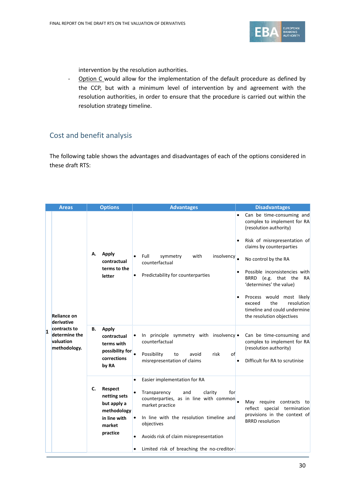

intervention by the resolution authorities.

- Option C would allow for the implementation of the default procedure as defined by the CCP, but with a minimum level of intervention by and agreement with the resolution authorities, in order to ensure that the procedure is carried out within the resolution strategy timeline.

## Cost and benefit analysis

The following table shows the advantages and disadvantages of each of the options considered in these draft RTS:

| <b>Areas</b> |                                                                                                |    | <b>Options</b>                                                                              | <b>Advantages</b>                                                                                                                                                                                                                                                                                 | <b>Disadvantages</b>                                                                                                                                                                                                                                                                                                                                                                                  |
|--------------|------------------------------------------------------------------------------------------------|----|---------------------------------------------------------------------------------------------|---------------------------------------------------------------------------------------------------------------------------------------------------------------------------------------------------------------------------------------------------------------------------------------------------|-------------------------------------------------------------------------------------------------------------------------------------------------------------------------------------------------------------------------------------------------------------------------------------------------------------------------------------------------------------------------------------------------------|
| $\mathbf{1}$ | <b>Reliance on</b><br>derivative<br>contracts to<br>determine the<br>valuation<br>methodology. | А. | Apply<br>contractual<br>terms to the<br>letter                                              | Full<br>insolvency<br>symmetry<br>with<br>counterfactual<br>Predictability for counterparties                                                                                                                                                                                                     | Can be time-consuming and<br>$\bullet$<br>complex to implement for RA<br>(resolution authority)<br>Risk of misrepresentation of<br>claims by counterparties<br>No control by the RA<br>Possible inconsistencies with<br>BRRD (e.g. that the<br>RA<br>'determines' the value)<br>Process would most likely<br>the<br>resolution<br>exceed<br>timeline and could undermine<br>the resolution objectives |
|              |                                                                                                | В. | <b>Apply</b><br>contractual<br>terms with<br>possibility for<br>corrections<br>by RA        | In principle symmetry with insolvency $\bullet$<br>counterfactual<br>Possibility<br>avoid<br>risk<br>of<br>to<br>misrepresentation of claims                                                                                                                                                      | Can be time-consuming and<br>complex to implement for RA<br>(resolution authority)<br>Difficult for RA to scrutinise                                                                                                                                                                                                                                                                                  |
|              |                                                                                                | C. | Respect<br>netting sets<br>but apply a<br>methodology<br>in line with<br>market<br>practice | Easier implementation for RA<br>for<br>Transparency<br>and<br>clarity<br>$\bullet$<br>counterparties, as in line with common<br>market practice<br>In line with the resolution timeline and<br>objectives<br>Avoids risk of claim misrepresentation<br>Limited risk of breaching the no-creditor- | May require contracts<br>to t<br>reflect special termination<br>provisions in the context of<br><b>BRRD</b> resolution                                                                                                                                                                                                                                                                                |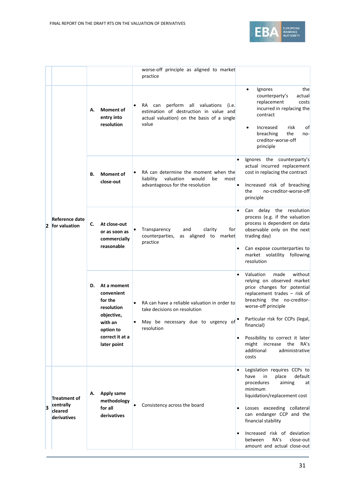

|                         |                                                            |                                                    |                                                                                                                                                   | worse-off principle as aligned to market<br>practice                                                                                                                                                              |                                                                                                                                                                                                                                                                                                                                              |
|-------------------------|------------------------------------------------------------|----------------------------------------------------|---------------------------------------------------------------------------------------------------------------------------------------------------|-------------------------------------------------------------------------------------------------------------------------------------------------------------------------------------------------------------------|----------------------------------------------------------------------------------------------------------------------------------------------------------------------------------------------------------------------------------------------------------------------------------------------------------------------------------------------|
| $\mathbf{2}$            | <b>Reference date</b><br>for valuation                     | <b>Moment of</b><br>А.<br>entry into<br>resolution | perform<br>all valuations<br>RA.<br>can<br>(i.e.<br>estimation of destruction in value and<br>actual valuation) on the basis of a single<br>value | Ignores<br>the<br>$\bullet$<br>counterparty's<br>actual<br>replacement<br>costs<br>incurred in replacing the<br>contract<br>Increased<br>risk<br>0f<br>breaching<br>the<br>no-<br>creditor-worse-off<br>principle |                                                                                                                                                                                                                                                                                                                                              |
|                         |                                                            | В.                                                 | <b>Moment of</b><br>close-out                                                                                                                     | RA can determine the moment when the<br>valuation<br>would<br>liability<br>be<br>most<br>advantageous for the resolution                                                                                          | Ignores the counterparty's<br>actual incurred replacement<br>cost in replacing the contract<br>Increased risk of breaching<br>no-creditor-worse-off<br>the<br>principle                                                                                                                                                                      |
|                         |                                                            | c.                                                 | At close-out<br>or as soon as<br>commercially<br>reasonable                                                                                       | Transparency<br>and<br>clarity<br>for<br>counterparties,<br>as aligned to<br>market<br>practice                                                                                                                   | delay the resolution<br>Can<br>process (e.g. if the valuation<br>process is dependent on data<br>observable only on the next<br>trading day)<br>Can expose counterparties to<br>market volatility<br>following<br>resolution                                                                                                                 |
|                         |                                                            | D.                                                 | At a moment<br>convenient<br>for the<br>resolution<br>objective,<br>with an<br>option to<br>correct it at a<br>later point                        | RA can have a reliable valuation in order to<br>take decisions on resolution<br>May be necessary due to urgency of<br>٠<br>resolution                                                                             | Valuation<br>made<br>without<br>relying on observed market<br>price changes for potential<br>replacement trades $-$ risk of<br>breaching the no-creditor-<br>worse-off principle<br>Particular risk for CCPs (legal,<br>financial)<br>Possibility to correct it later<br>might increase the<br>RA's<br>additional<br>administrative<br>costs |
| $\overline{\mathbf{3}}$ | <b>Treatment of</b><br>centrally<br>cleared<br>derivatives | А.                                                 | Apply same<br>methodology<br>for all<br>derivatives                                                                                               | Consistency across the board                                                                                                                                                                                      | Legislation requires CCPs to<br>default<br>have<br>in<br>place<br>procedures<br>aiming<br>at<br>minimum<br>liquidation/replacement cost<br>Losses exceeding collateral<br>can endanger CCP and the<br>financial stability<br>Increased risk of deviation<br>٠<br>RA's<br>between<br>close-out<br>amount and actual close-out                 |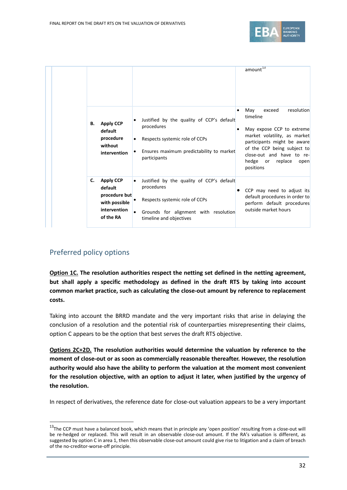

|  | В. | <b>Apply CCP</b><br>default<br>procedure<br>without<br>intervention                        | Justified by the quality of CCP's default<br>procedures<br>Respects systemic role of CCPs<br>Ensures maximum predictability to market<br>participants                      | ٠<br>٠ | amount <sup>13</sup><br>exceed<br>resolution<br>May<br>timeline<br>May expose CCP to extreme<br>market volatility, as market<br>participants might be aware<br>of the CCP being subject to<br>close-out and have to re-<br>hedge<br>replace<br>or<br>open<br>positions |
|--|----|--------------------------------------------------------------------------------------------|----------------------------------------------------------------------------------------------------------------------------------------------------------------------------|--------|------------------------------------------------------------------------------------------------------------------------------------------------------------------------------------------------------------------------------------------------------------------------|
|  | C. | <b>Apply CCP</b><br>default<br>procedure but<br>with possible<br>intervention<br>of the RA | Justified by the quality of CCP's default<br>$\bullet$<br>procedures<br>Respects systemic role of CCPs<br>Grounds for alignment with resolution<br>timeline and objectives |        | CCP may need to adjust its<br>default procedures in order to<br>perform default procedures<br>outside market hours                                                                                                                                                     |

## Preferred policy options

 $\overline{a}$ 

**Option 1C. The resolution authorities respect the netting set defined in the netting agreement, but shall apply a specific methodology as defined in the draft RTS by taking into account common market practice, such as calculating the close-out amount by reference to replacement costs.**

Taking into account the BRRD mandate and the very important risks that arise in delaying the conclusion of a resolution and the potential risk of counterparties misrepresenting their claims, option C appears to be the option that best serves the draft RTS objective.

**Options 2C+2D. The resolution authorities would determine the valuation by reference to the moment of close-out or as soon as commercially reasonable thereafter. However, the resolution authority would also have the ability to perform the valuation at the moment most convenient for the resolution objective, with an option to adjust it later, when justified by the urgency of the resolution.**

In respect of derivatives, the reference date for close-out valuation appears to be a very important

<span id="page-31-0"></span><sup>&</sup>lt;sup>13</sup>The CCP must have a balanced book, which means that in principle any 'open position' resulting from a close-out will be re-hedged or replaced. This will result in an observable close-out amount. If the RA's valuation is different, as suggested by option C in area 1, then this observable close-out amount could give rise to litigation and a claim of breach of the no-creditor-worse-off principle.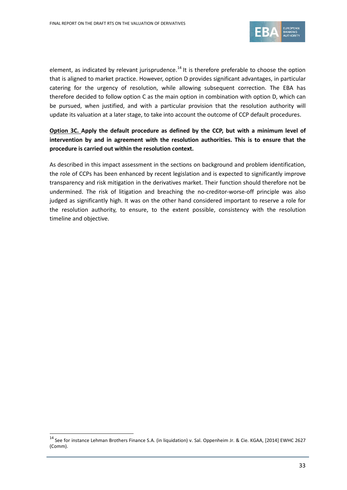

element, as indicated by relevant jurisprudence.<sup>[14](#page-32-0)</sup> It is therefore preferable to choose the option that is aligned to market practice. However, option D provides significant advantages, in particular catering for the urgency of resolution, while allowing subsequent correction. The EBA has therefore decided to follow option C as the main option in combination with option D, which can be pursued, when justified, and with a particular provision that the resolution authority will update its valuation at a later stage, to take into account the outcome of CCP default procedures.

### **Option 3C. Apply the default procedure as defined by the CCP, but with a minimum level of intervention by and in agreement with the resolution authorities. This is to ensure that the procedure is carried out within the resolution context.**

As described in this impact assessment in the sections on background and problem identification, the role of CCPs has been enhanced by recent legislation and is expected to significantly improve transparency and risk mitigation in the derivatives market. Their function should therefore not be undermined. The risk of litigation and breaching the no-creditor-worse-off principle was also judged as significantly high. It was on the other hand considered important to reserve a role for the resolution authority, to ensure, to the extent possible, consistency with the resolution timeline and objective.

<span id="page-32-0"></span><sup>&</sup>lt;sup>14</sup> See for instance Lehman Brothers Finance S.A. (in liquidation) v. Sal. Oppenheim Jr. & Cie. KGAA, [2014] EWHC 2627 (Comm).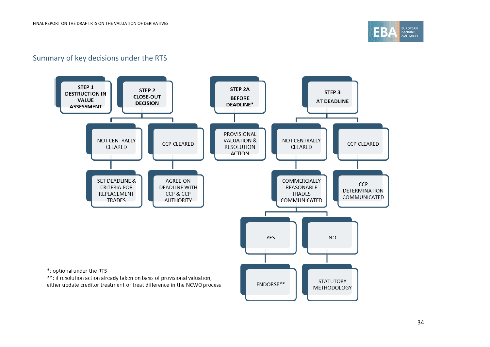

## Summary of key decisions under the RTS

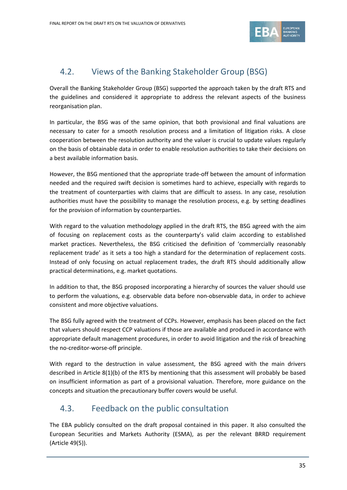

# <span id="page-34-0"></span>4.2. Views of the Banking Stakeholder Group (BSG)

Overall the Banking Stakeholder Group (BSG) supported the approach taken by the draft RTS and the guidelines and considered it appropriate to address the relevant aspects of the business reorganisation plan.

In particular, the BSG was of the same opinion, that both provisional and final valuations are necessary to cater for a smooth resolution process and a limitation of litigation risks. A close cooperation between the resolution authority and the valuer is crucial to update values regularly on the basis of obtainable data in order to enable resolution authorities to take their decisions on a best available information basis.

However, the BSG mentioned that the appropriate trade-off between the amount of information needed and the required swift decision is sometimes hard to achieve, especially with regards to the treatment of counterparties with claims that are difficult to assess. In any case, resolution authorities must have the possibility to manage the resolution process, e.g. by setting deadlines for the provision of information by counterparties.

With regard to the valuation methodology applied in the draft RTS, the BSG agreed with the aim of focusing on replacement costs as the counterparty's valid claim according to established market practices. Nevertheless, the BSG criticised the definition of 'commercially reasonably replacement trade' as it sets a too high a standard for the determination of replacement costs. Instead of only focusing on actual replacement trades, the draft RTS should additionally allow practical determinations, e.g. market quotations.

In addition to that, the BSG proposed incorporating a hierarchy of sources the valuer should use to perform the valuations, e.g. observable data before non-observable data, in order to achieve consistent and more objective valuations.

The BSG fully agreed with the treatment of CCPs. However, emphasis has been placed on the fact that valuers should respect CCP valuations if those are available and produced in accordance with appropriate default management procedures, in order to avoid litigation and the risk of breaching the no-creditor-worse-off principle.

With regard to the destruction in value assessment, the BSG agreed with the main drivers described in Article 8(1)(b) of the RTS by mentioning that this assessment will probably be based on insufficient information as part of a provisional valuation. Therefore, more guidance on the concepts and situation the precautionary buffer covers would be useful.

## <span id="page-34-1"></span>4.3. Feedback on the public consultation

The EBA publicly consulted on the draft proposal contained in this paper. It also consulted the European Securities and Markets Authority (ESMA), as per the relevant BRRD requirement (Article 49(5)).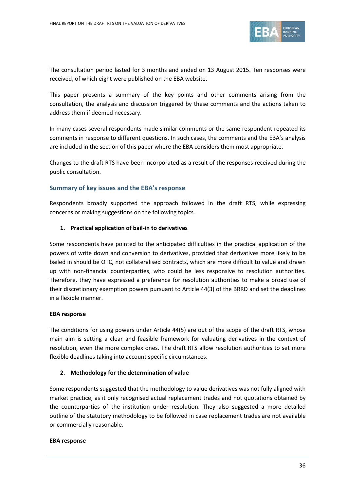

The consultation period lasted for 3 months and ended on 13 August 2015. Ten responses were received, of which eight were published on the EBA website.

This paper presents a summary of the key points and other comments arising from the consultation, the analysis and discussion triggered by these comments and the actions taken to address them if deemed necessary.

In many cases several respondents made similar comments or the same respondent repeated its comments in response to different questions. In such cases, the comments and the EBA's analysis are included in the section of this paper where the EBA considers them most appropriate.

Changes to the draft RTS have been incorporated as a result of the responses received during the public consultation.

#### **Summary of key issues and the EBA's response**

Respondents broadly supported the approach followed in the draft RTS, while expressing concerns or making suggestions on the following topics.

#### **1. Practical application of bail-in to derivatives**

Some respondents have pointed to the anticipated difficulties in the practical application of the powers of write down and conversion to derivatives, provided that derivatives more likely to be bailed in should be OTC, not collateralised contracts, which are more difficult to value and drawn up with non-financial counterparties, who could be less responsive to resolution authorities. Therefore, they have expressed a preference for resolution authorities to make a broad use of their discretionary exemption powers pursuant to Article 44(3) of the BRRD and set the deadlines in a flexible manner.

#### **EBA response**

The conditions for using powers under Article 44(5) are out of the scope of the draft RTS, whose main aim is setting a clear and feasible framework for valuating derivatives in the context of resolution, even the more complex ones. The draft RTS allow resolution authorities to set more flexible deadlines taking into account specific circumstances.

#### **2. Methodology for the determination of value**

Some respondents suggested that the methodology to value derivatives was not fully aligned with market practice, as it only recognised actual replacement trades and not quotations obtained by the counterparties of the institution under resolution. They also suggested a more detailed outline of the statutory methodology to be followed in case replacement trades are not available or commercially reasonable.

#### **EBA response**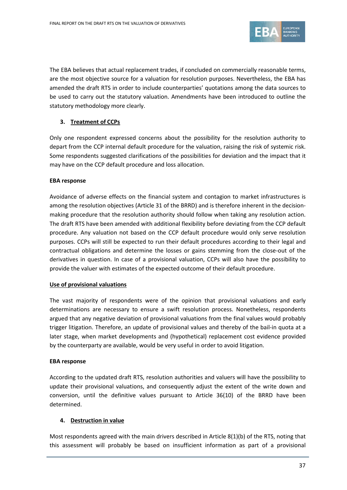

The EBA believes that actual replacement trades, if concluded on commercially reasonable terms, are the most objective source for a valuation for resolution purposes. Nevertheless, the EBA has amended the draft RTS in order to include counterparties' quotations among the data sources to be used to carry out the statutory valuation. Amendments have been introduced to outline the statutory methodology more clearly.

## **3. Treatment of CCPs**

Only one respondent expressed concerns about the possibility for the resolution authority to depart from the CCP internal default procedure for the valuation, raising the risk of systemic risk. Some respondents suggested clarifications of the possibilities for deviation and the impact that it may have on the CCP default procedure and loss allocation.

#### **EBA response**

Avoidance of adverse effects on the financial system and contagion to market infrastructures is among the resolution objectives (Article 31 of the BRRD) and is therefore inherent in the decisionmaking procedure that the resolution authority should follow when taking any resolution action. The draft RTS have been amended with additional flexibility before deviating from the CCP default procedure. Any valuation not based on the CCP default procedure would only serve resolution purposes. CCPs will still be expected to run their default procedures according to their legal and contractual obligations and determine the losses or gains stemming from the close-out of the derivatives in question. In case of a provisional valuation, CCPs will also have the possibility to provide the valuer with estimates of the expected outcome of their default procedure.

#### **Use of provisional valuations**

The vast majority of respondents were of the opinion that provisional valuations and early determinations are necessary to ensure a swift resolution process. Nonetheless, respondents argued that any negative deviation of provisional valuations from the final values would probably trigger litigation. Therefore, an update of provisional values and thereby of the bail-in quota at a later stage, when market developments and (hypothetical) replacement cost evidence provided by the counterparty are available, would be very useful in order to avoid litigation.

#### **EBA response**

According to the updated draft RTS, resolution authorities and valuers will have the possibility to update their provisional valuations, and consequently adjust the extent of the write down and conversion, until the definitive values pursuant to Article 36(10) of the BRRD have been determined.

#### **4. Destruction in value**

Most respondents agreed with the main drivers described in Article 8(1)(b) of the RTS, noting that this assessment will probably be based on insufficient information as part of a provisional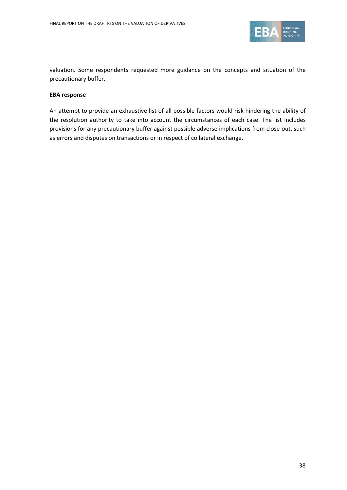

valuation. Some respondents requested more guidance on the concepts and situation of the precautionary buffer.

#### **EBA response**

An attempt to provide an exhaustive list of all possible factors would risk hindering the ability of the resolution authority to take into account the circumstances of each case. The list includes provisions for any precautionary buffer against possible adverse implications from close-out, such as errors and disputes on transactions or in respect of collateral exchange.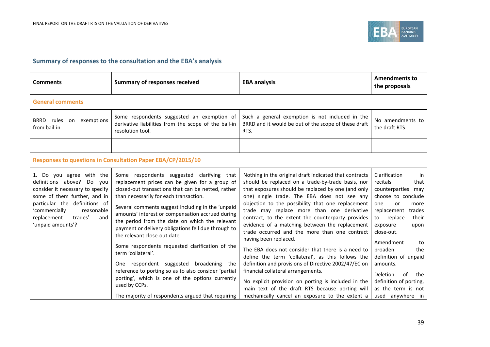

## **Summary of responses to the consultation and the EBA's analysis**

| <b>Comments</b>                                                                                                                                                                                                                                    | <b>Summary of responses received</b>                                                                                                                                                                                                                                                                                                                                                                                                                                                                                                                                                                                                                                                                                                                | <b>EBA analysis</b>                                                                                                                                                                                                                                                                                                                                                                                                                                                                                                                                                                                                                                                                                                                                                                                                                                                       | <b>Amendments to</b><br>the proposals                                                                                                                                                                                                                                                                                                                                      |
|----------------------------------------------------------------------------------------------------------------------------------------------------------------------------------------------------------------------------------------------------|-----------------------------------------------------------------------------------------------------------------------------------------------------------------------------------------------------------------------------------------------------------------------------------------------------------------------------------------------------------------------------------------------------------------------------------------------------------------------------------------------------------------------------------------------------------------------------------------------------------------------------------------------------------------------------------------------------------------------------------------------------|---------------------------------------------------------------------------------------------------------------------------------------------------------------------------------------------------------------------------------------------------------------------------------------------------------------------------------------------------------------------------------------------------------------------------------------------------------------------------------------------------------------------------------------------------------------------------------------------------------------------------------------------------------------------------------------------------------------------------------------------------------------------------------------------------------------------------------------------------------------------------|----------------------------------------------------------------------------------------------------------------------------------------------------------------------------------------------------------------------------------------------------------------------------------------------------------------------------------------------------------------------------|
| <b>General comments</b>                                                                                                                                                                                                                            |                                                                                                                                                                                                                                                                                                                                                                                                                                                                                                                                                                                                                                                                                                                                                     |                                                                                                                                                                                                                                                                                                                                                                                                                                                                                                                                                                                                                                                                                                                                                                                                                                                                           |                                                                                                                                                                                                                                                                                                                                                                            |
| BRRD rules<br>on exemptions<br>from bail-in                                                                                                                                                                                                        | Some respondents suggested an exemption of<br>derivative liabilities from the scope of the bail-in<br>resolution tool.                                                                                                                                                                                                                                                                                                                                                                                                                                                                                                                                                                                                                              | Such a general exemption is not included in the<br>BRRD and it would be out of the scope of these draft<br>RTS.                                                                                                                                                                                                                                                                                                                                                                                                                                                                                                                                                                                                                                                                                                                                                           | No amendments to<br>the draft RTS.                                                                                                                                                                                                                                                                                                                                         |
|                                                                                                                                                                                                                                                    |                                                                                                                                                                                                                                                                                                                                                                                                                                                                                                                                                                                                                                                                                                                                                     |                                                                                                                                                                                                                                                                                                                                                                                                                                                                                                                                                                                                                                                                                                                                                                                                                                                                           |                                                                                                                                                                                                                                                                                                                                                                            |
|                                                                                                                                                                                                                                                    | Responses to questions in Consultation Paper EBA/CP/2015/10                                                                                                                                                                                                                                                                                                                                                                                                                                                                                                                                                                                                                                                                                         |                                                                                                                                                                                                                                                                                                                                                                                                                                                                                                                                                                                                                                                                                                                                                                                                                                                                           |                                                                                                                                                                                                                                                                                                                                                                            |
| 1. Do you agree with the<br>definitions above? Do<br>vou<br>consider it necessary to specify<br>some of them further, and in<br>particular the definitions of<br>'commercially<br>reasonable<br>replacement<br>trades'<br>and<br>'unpaid amounts'? | Some respondents suggested clarifying that<br>replacement prices can be given for a group of<br>closed-out transactions that can be netted, rather<br>than necessarily for each transaction.<br>Several comments suggest including in the 'unpaid<br>amounts' interest or compensation accrued during<br>the period from the date on which the relevant<br>payment or delivery obligations fell due through to<br>the relevant close-out date.<br>Some respondents requested clarification of the<br>term 'collateral'.<br>One respondent suggested broadening the<br>reference to porting so as to also consider 'partial<br>porting', which is one of the options currently<br>used by CCPs.<br>The majority of respondents argued that requiring | Nothing in the original draft indicated that contracts<br>should be replaced on a trade-by-trade basis, nor<br>that exposures should be replaced by one (and only<br>one) single trade. The EBA does not see any<br>objection to the possibility that one replacement<br>trade may replace more than one derivative<br>contract, to the extent the counterparty provides<br>evidence of a matching between the replacement<br>trade occurred and the more than one contract<br>having been replaced.<br>The EBA does not consider that there is a need to<br>define the term 'collateral', as this follows the<br>definition and provisions of Directive 2002/47/EC on<br>financial collateral arrangements.<br>No explicit provision on porting is included in the<br>main text of the draft RTS because porting will<br>mechanically cancel an exposure to the extent a | Clarification<br>in<br>recitals<br>that<br>counterparties may<br>choose to conclude<br>one<br>or<br>more<br>replacement<br>trades<br>to<br>replace<br>their<br>exposure<br>upon<br>close-out.<br>Amendment<br>to<br>broaden<br>the<br>definition of unpaid<br>amounts.<br><b>Deletion</b><br>of<br>the<br>definition of porting,<br>as the term is not<br>used anywhere in |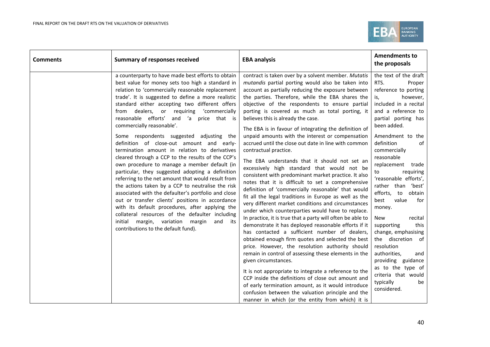

| <b>Comments</b> | <b>Summary of responses received</b>                                                                                                                                                                                                                                                                                                                                                                                                                                                                                                                                                                                                                                                                                                                                                                                                                                                                                                                                                                                                                                                                                     | <b>EBA analysis</b>                                                                                                                                                                                                                                                                                                                                                                                                                                                                                                                                                                                                                                                                                                                                                                                                                                                                                                                                                                                                                                                                                                                                                                                                                                                                                                                                                                                                                                                                                                                                                                                                                             | <b>Amendments to</b><br>the proposals                                                                                                                                                                                                                                                                                                                                                                                                                                                                                                                                                                                              |
|-----------------|--------------------------------------------------------------------------------------------------------------------------------------------------------------------------------------------------------------------------------------------------------------------------------------------------------------------------------------------------------------------------------------------------------------------------------------------------------------------------------------------------------------------------------------------------------------------------------------------------------------------------------------------------------------------------------------------------------------------------------------------------------------------------------------------------------------------------------------------------------------------------------------------------------------------------------------------------------------------------------------------------------------------------------------------------------------------------------------------------------------------------|-------------------------------------------------------------------------------------------------------------------------------------------------------------------------------------------------------------------------------------------------------------------------------------------------------------------------------------------------------------------------------------------------------------------------------------------------------------------------------------------------------------------------------------------------------------------------------------------------------------------------------------------------------------------------------------------------------------------------------------------------------------------------------------------------------------------------------------------------------------------------------------------------------------------------------------------------------------------------------------------------------------------------------------------------------------------------------------------------------------------------------------------------------------------------------------------------------------------------------------------------------------------------------------------------------------------------------------------------------------------------------------------------------------------------------------------------------------------------------------------------------------------------------------------------------------------------------------------------------------------------------------------------|------------------------------------------------------------------------------------------------------------------------------------------------------------------------------------------------------------------------------------------------------------------------------------------------------------------------------------------------------------------------------------------------------------------------------------------------------------------------------------------------------------------------------------------------------------------------------------------------------------------------------------|
|                 | a counterparty to have made best efforts to obtain<br>best value for money sets too high a standard in<br>relation to 'commercially reasonable replacement<br>trade'. It is suggested to define a more realistic<br>standard either accepting two different offers<br>from dealers, or requiring<br>'commercially<br>reasonable efforts' and 'a price that is<br>commercially reasonable'.<br>Some respondents suggested adjusting the<br>definition of close-out amount and early-<br>termination amount in relation to derivatives<br>cleared through a CCP to the results of the CCP's<br>own procedure to manage a member default (in<br>particular, they suggested adopting a definition<br>referring to the net amount that would result from<br>the actions taken by a CCP to neutralise the risk<br>associated with the defaulter's portfolio and close<br>out or transfer clients' positions in accordance<br>with its default procedures, after applying the<br>collateral resources of the defaulter including<br>margin, variation<br>initial<br>margin<br>and<br>its<br>contributions to the default fund). | contract is taken over by a solvent member. Mutatis<br>mutandis partial porting would also be taken into<br>account as partially reducing the exposure between<br>the parties. Therefore, while the EBA shares the<br>objective of the respondents to ensure partial<br>porting is covered as much as total porting, it<br>believes this is already the case.<br>The EBA is in favour of integrating the definition of<br>unpaid amounts with the interest or compensation<br>accrued until the close out date in line with common<br>contractual practice.<br>The EBA understands that it should not set an<br>excessively high standard that would not be<br>consistent with predominant market practice. It also<br>notes that it is difficult to set a comprehensive<br>definition of 'commercially reasonable' that would<br>fit all the legal traditions in Europe as well as the<br>very different market conditions and circumstances<br>under which counterparties would have to replace.<br>In practice, it is true that a party will often be able to<br>demonstrate it has deployed reasonable efforts if it<br>has contacted a sufficient number of dealers,<br>obtained enough firm quotes and selected the best<br>price. However, the resolution authority should<br>remain in control of assessing these elements in the<br>given circumstances.<br>It is not appropriate to integrate a reference to the<br>CCP inside the definitions of close out amount and<br>of early termination amount, as it would introduce<br>confusion between the valuation principle and the<br>manner in which (or the entity from which) it is | the text of the draft<br>RTS.<br>Proper<br>reference to porting<br>however,<br>is,<br>included in a recital<br>and a reference to<br>partial porting has<br>been added.<br>Amendment to the<br>definition<br>of<br>commercially<br>reasonable<br>replacement trade<br>requiring<br>to<br>'reasonable efforts',<br>'best'<br>rather than<br>obtain<br>efforts,<br>to<br>value<br>for<br>best<br>money.<br>recital<br>New<br>this<br>supporting<br>change, emphasising<br>the discretion of<br>resolution<br>authorities,<br>and<br>providing guidance<br>as to the type of<br>criteria that would<br>typically<br>be<br>considered. |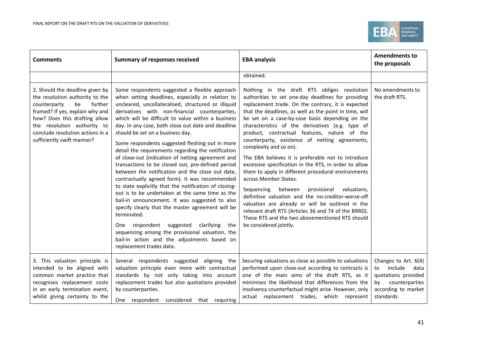

| <b>Comments</b>                                                                                                                                                                                                                                                          | <b>Summary of responses received</b>                                                                                                                                                                                                                                                                                                                                                                                                                                                                                                                                                                                                                                                                                                                                                                                                                                                                                                                                                                                                                                                                   | <b>EBA analysis</b>                                                                                                                                                                                                                                                                                                                                                                                                                                                                                                                                                                                                                                                                                                                                                                                                                                                                                                                                      | <b>Amendments to</b><br>the proposals                                                                                            |
|--------------------------------------------------------------------------------------------------------------------------------------------------------------------------------------------------------------------------------------------------------------------------|--------------------------------------------------------------------------------------------------------------------------------------------------------------------------------------------------------------------------------------------------------------------------------------------------------------------------------------------------------------------------------------------------------------------------------------------------------------------------------------------------------------------------------------------------------------------------------------------------------------------------------------------------------------------------------------------------------------------------------------------------------------------------------------------------------------------------------------------------------------------------------------------------------------------------------------------------------------------------------------------------------------------------------------------------------------------------------------------------------|----------------------------------------------------------------------------------------------------------------------------------------------------------------------------------------------------------------------------------------------------------------------------------------------------------------------------------------------------------------------------------------------------------------------------------------------------------------------------------------------------------------------------------------------------------------------------------------------------------------------------------------------------------------------------------------------------------------------------------------------------------------------------------------------------------------------------------------------------------------------------------------------------------------------------------------------------------|----------------------------------------------------------------------------------------------------------------------------------|
|                                                                                                                                                                                                                                                                          |                                                                                                                                                                                                                                                                                                                                                                                                                                                                                                                                                                                                                                                                                                                                                                                                                                                                                                                                                                                                                                                                                                        | obtained.                                                                                                                                                                                                                                                                                                                                                                                                                                                                                                                                                                                                                                                                                                                                                                                                                                                                                                                                                |                                                                                                                                  |
| 2. Should the deadline given by<br>the resolution authority to the<br>further<br>counterparty<br>be<br>framed? If yes, explain why and<br>how? Does this drafting allow<br>the resolution authority to<br>conclude resolution actions in a<br>sufficiently swift manner? | Some respondents suggested a flexible approach<br>when setting deadlines, especially in relation to<br>uncleared, uncollateralised, structured or illiquid<br>derivatives with non-financial counterparties,<br>which will be difficult to value within a business<br>day. In any case, both close out date and deadline<br>should be set on a business day.<br>Some respondents suggested fleshing out in more<br>detail the requirements regarding the notification<br>of close-out (indication of netting agreement and<br>transactions to be closed out, pre-defined period<br>between the notification and the close out date,<br>contractually agreed form). It was recommended<br>to state explicitly that the notification of closing-<br>out is to be undertaken at the same time as the<br>bail-in announcement. It was suggested to also<br>specify clearly that the master agreement will be<br>terminated.<br>One respondent suggested<br>clarifying<br>the<br>sequencing among the provisional valuation, the<br>bail-in action and the adjustments based on<br>replacement trades data. | Nothing in the draft RTS obliges resolution<br>authorities to set one-day deadlines for providing<br>replacement trade. On the contrary, it is expected<br>that the deadlines, as well as the point in time, will<br>be set on a case-by-case basis depending on the<br>characteristics of the derivatives (e.g. type of<br>product, contractual features, nature of the<br>counterparty, existence of netting agreements,<br>complexity and so on).<br>The EBA believes it is preferable not to introduce<br>excessive specification in the RTS, in order to allow<br>them to apply in different procedural environments<br>across Member States.<br>valuations,<br>Sequencing<br>between<br>provisional<br>definitive valuation and the no-creditor-worse-off<br>valuation are already or will be outlined in the<br>relevant draft RTS (Articles 36 and 74 of the BRRD).<br>These RTS and the two abovementioned RTS should<br>be considered jointly. | No amendments to<br>the draft RTS.                                                                                               |
| 3. This valuation principle is<br>intended to be aligned with<br>common market practice that<br>recognises replacement costs<br>in an early termination event,<br>whilst giving certainty to the                                                                         | Several respondents suggested aligning the<br>valuation principle even more with contractual<br>standards by not only taking into account<br>replacement trades but also quotations provided<br>by counterparties.<br>One respondent considered that requiring                                                                                                                                                                                                                                                                                                                                                                                                                                                                                                                                                                                                                                                                                                                                                                                                                                         | Securing valuations as close as possible to valuations<br>performed upon close-out according to contracts is<br>one of the main aims of the draft RTS, as it<br>minimises the likelihood that differences from the<br>insolvency counterfactual might arise. However, only<br>actual replacement trades, which represent                                                                                                                                                                                                                                                                                                                                                                                                                                                                                                                                                                                                                                 | Changes to Art. 6(4)<br>include<br>data<br>to<br>quotations provided<br>counterparties<br>bv<br>according to market<br>standards |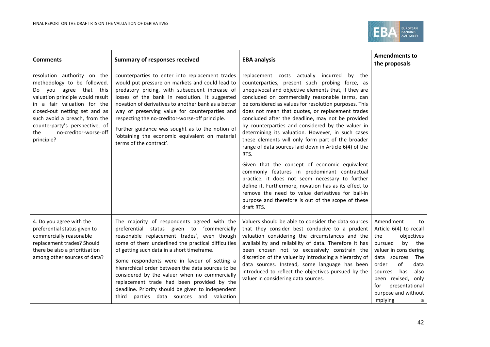

| <b>Comments</b>                                                                                                                                                                                                                                                                                           | <b>Summary of responses received</b>                                                                                                                                                                                                                                                                                                                                                                                                                                                                                                              | <b>EBA analysis</b>                                                                                                                                                                                                                                                                                                                                                                                                                                                                                                                                                                                                                                                                                                                                                                                                                                                                                                                             | <b>Amendments to</b><br>the proposals                                                                                                                                                                                                                                        |
|-----------------------------------------------------------------------------------------------------------------------------------------------------------------------------------------------------------------------------------------------------------------------------------------------------------|---------------------------------------------------------------------------------------------------------------------------------------------------------------------------------------------------------------------------------------------------------------------------------------------------------------------------------------------------------------------------------------------------------------------------------------------------------------------------------------------------------------------------------------------------|-------------------------------------------------------------------------------------------------------------------------------------------------------------------------------------------------------------------------------------------------------------------------------------------------------------------------------------------------------------------------------------------------------------------------------------------------------------------------------------------------------------------------------------------------------------------------------------------------------------------------------------------------------------------------------------------------------------------------------------------------------------------------------------------------------------------------------------------------------------------------------------------------------------------------------------------------|------------------------------------------------------------------------------------------------------------------------------------------------------------------------------------------------------------------------------------------------------------------------------|
| resolution authority on the<br>methodology to be followed.<br>Do you agree that this<br>valuation principle would result<br>in a fair valuation for the<br>closed-out netting set and as<br>such avoid a breach, from the<br>counterparty's perspective, of<br>no-creditor-worse-off<br>the<br>principle? | counterparties to enter into replacement trades<br>would put pressure on markets and could lead to<br>predatory pricing, with subsequent increase of<br>losses of the bank in resolution. It suggested<br>novation of derivatives to another bank as a better<br>way of preserving value for counterparties and<br>respecting the no-creditor-worse-off principle.<br>Further guidance was sought as to the notion of<br>'obtaining the economic equivalent on material<br>terms of the contract'.                                                | replacement costs actually incurred by the<br>counterparties, present such probing force, as<br>unequivocal and objective elements that, if they are<br>concluded on commercially reasonable terms, can<br>be considered as values for resolution purposes. This<br>does not mean that quotes, or replacement trades<br>concluded after the deadline, may not be provided<br>by counterparties and considered by the valuer in<br>determining its valuation. However, in such cases<br>these elements will only form part of the broader<br>range of data sources laid down in Article 6(4) of the<br>RTS.<br>Given that the concept of economic equivalent<br>commonly features in predominant contractual<br>practice, it does not seem necessary to further<br>define it. Furthermore, novation has as its effect to<br>remove the need to value derivatives for bail-in<br>purpose and therefore is out of the scope of these<br>draft RTS. |                                                                                                                                                                                                                                                                              |
| 4. Do you agree with the<br>preferential status given to<br>commercially reasonable<br>replacement trades? Should<br>there be also a prioritisation<br>among other sources of data?                                                                                                                       | The majority of respondents agreed with the<br>preferential status given to 'commercially<br>reasonable replacement trades', even though<br>some of them underlined the practical difficulties<br>of getting such data in a short timeframe.<br>Some respondents were in favour of setting a<br>hierarchical order between the data sources to be<br>considered by the valuer when no commercially<br>replacement trade had been provided by the<br>deadline. Priority should be given to independent<br>third parties data sources and valuation | Valuers should be able to consider the data sources<br>that they consider best conducive to a prudent<br>valuation considering the circumstances and the<br>availability and reliability of data. Therefore it has<br>been chosen not to excessively constrain the<br>discretion of the valuer by introducing a hierarchy of<br>data sources. Instead, some language has been<br>introduced to reflect the objectives pursued by the<br>valuer in considering data sources.                                                                                                                                                                                                                                                                                                                                                                                                                                                                     | Amendment<br>to<br>Article 6(4) to recall<br>the<br>objectives<br>pursued<br>by<br>the<br>valuer in considering<br>data sources. The<br>of<br>data<br>order<br>has<br>also<br>sources<br>been revised, only<br>presentational<br>for<br>purpose and without<br>implying<br>a |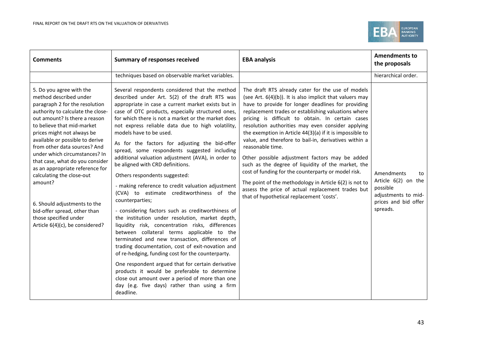

| <b>Comments</b>                                                                                                                                                                                                                                                                                                                                                                                                                                                                                                                                                      | <b>Summary of responses received</b>                                                                                                                                                                                                                                                                                                                                                                                                                                                                                                                                                                                                                                                                                                                                                                                                                                                                                                                                                                                                                                                                                                                                                                                                                                                           | <b>EBA analysis</b>                                                                                                                                                                                                                                                                                                                                                                                                                                                                                                                                                                                                                                                                                                                                                                                          | <b>Amendments to</b><br>the proposals                                                                          |
|----------------------------------------------------------------------------------------------------------------------------------------------------------------------------------------------------------------------------------------------------------------------------------------------------------------------------------------------------------------------------------------------------------------------------------------------------------------------------------------------------------------------------------------------------------------------|------------------------------------------------------------------------------------------------------------------------------------------------------------------------------------------------------------------------------------------------------------------------------------------------------------------------------------------------------------------------------------------------------------------------------------------------------------------------------------------------------------------------------------------------------------------------------------------------------------------------------------------------------------------------------------------------------------------------------------------------------------------------------------------------------------------------------------------------------------------------------------------------------------------------------------------------------------------------------------------------------------------------------------------------------------------------------------------------------------------------------------------------------------------------------------------------------------------------------------------------------------------------------------------------|--------------------------------------------------------------------------------------------------------------------------------------------------------------------------------------------------------------------------------------------------------------------------------------------------------------------------------------------------------------------------------------------------------------------------------------------------------------------------------------------------------------------------------------------------------------------------------------------------------------------------------------------------------------------------------------------------------------------------------------------------------------------------------------------------------------|----------------------------------------------------------------------------------------------------------------|
|                                                                                                                                                                                                                                                                                                                                                                                                                                                                                                                                                                      | techniques based on observable market variables.                                                                                                                                                                                                                                                                                                                                                                                                                                                                                                                                                                                                                                                                                                                                                                                                                                                                                                                                                                                                                                                                                                                                                                                                                                               |                                                                                                                                                                                                                                                                                                                                                                                                                                                                                                                                                                                                                                                                                                                                                                                                              | hierarchical order.                                                                                            |
| 5. Do you agree with the<br>method described under<br>paragraph 2 for the resolution<br>authority to calculate the close-<br>out amount? Is there a reason<br>to believe that mid-market<br>prices might not always be<br>available or possible to derive<br>from other data sources? And<br>under which circumstances? In<br>that case, what do you consider<br>as an appropriate reference for<br>calculating the close-out<br>amount?<br>6. Should adjustments to the<br>bid-offer spread, other than<br>those specified under<br>Article 6(4)(c), be considered? | Several respondents considered that the method<br>described under Art. 5(2) of the draft RTS was<br>appropriate in case a current market exists but in<br>case of OTC products, especially structured ones,<br>for which there is not a market or the market does<br>not express reliable data due to high volatility,<br>models have to be used.<br>As for the factors for adjusting the bid-offer<br>spread, some respondents suggested including<br>additional valuation adjustment (AVA), in order to<br>be aligned with CRD definitions.<br>Others respondents suggested:<br>- making reference to credit valuation adjustment<br>(CVA) to estimate creditworthiness of the<br>counterparties;<br>- considering factors such as creditworthiness of<br>the institution under resolution, market depth,<br>liquidity risk, concentration risks, differences<br>between collateral terms applicable to the<br>terminated and new transaction, differences of<br>trading documentation, cost of exit-novation and<br>of re-hedging, funding cost for the counterparty.<br>One respondent argued that for certain derivative<br>products it would be preferable to determine<br>close out amount over a period of more than one<br>day (e.g. five days) rather than using a firm<br>deadline. | The draft RTS already cater for the use of models<br>(see Art. $6(4)(b)$ ). It is also implicit that valuers may<br>have to provide for longer deadlines for providing<br>replacement trades or establishing valuations where<br>pricing is difficult to obtain. In certain cases<br>resolution authorities may even consider applying<br>the exemption in Article 44(3)(a) if it is impossible to<br>value, and therefore to bail-in, derivatives within a<br>reasonable time.<br>Other possible adjustment factors may be added<br>such as the degree of liquidity of the market, the<br>cost of funding for the counterparty or model risk.<br>The point of the methodology in Article $6(2)$ is not to<br>assess the price of actual replacement trades but<br>that of hypothetical replacement 'costs'. | Amendments<br>to<br>Article 6(2) on the<br>possible<br>adjustments to mid-<br>prices and bid offer<br>spreads. |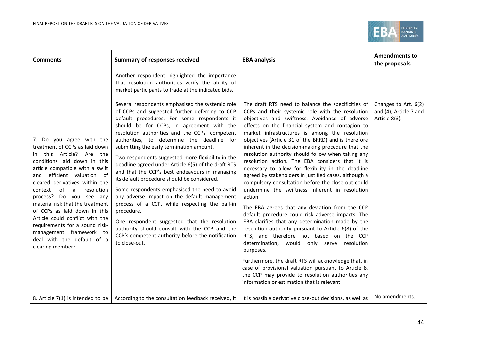

| <b>Comments</b>                                                                                                                                                                                                                                                                                                                                                                                                                                                                                                    | <b>Summary of responses received</b>                                                                                                                                                                                                                                                                                                                                                                                                                                                                                                                                                                                                                                                                                                                                                                                                                                                            | <b>EBA analysis</b>                                                                                                                                                                                                                                                                                                                                                                                                                                                                                                                                                                                                                                                                                                                                                                                                                                                                                                                                                                                                                                                                                                                                                                                                                                                  | <b>Amendments to</b><br>the proposals                           |
|--------------------------------------------------------------------------------------------------------------------------------------------------------------------------------------------------------------------------------------------------------------------------------------------------------------------------------------------------------------------------------------------------------------------------------------------------------------------------------------------------------------------|-------------------------------------------------------------------------------------------------------------------------------------------------------------------------------------------------------------------------------------------------------------------------------------------------------------------------------------------------------------------------------------------------------------------------------------------------------------------------------------------------------------------------------------------------------------------------------------------------------------------------------------------------------------------------------------------------------------------------------------------------------------------------------------------------------------------------------------------------------------------------------------------------|----------------------------------------------------------------------------------------------------------------------------------------------------------------------------------------------------------------------------------------------------------------------------------------------------------------------------------------------------------------------------------------------------------------------------------------------------------------------------------------------------------------------------------------------------------------------------------------------------------------------------------------------------------------------------------------------------------------------------------------------------------------------------------------------------------------------------------------------------------------------------------------------------------------------------------------------------------------------------------------------------------------------------------------------------------------------------------------------------------------------------------------------------------------------------------------------------------------------------------------------------------------------|-----------------------------------------------------------------|
|                                                                                                                                                                                                                                                                                                                                                                                                                                                                                                                    | Another respondent highlighted the importance<br>that resolution authorities verify the ability of<br>market participants to trade at the indicated bids.                                                                                                                                                                                                                                                                                                                                                                                                                                                                                                                                                                                                                                                                                                                                       |                                                                                                                                                                                                                                                                                                                                                                                                                                                                                                                                                                                                                                                                                                                                                                                                                                                                                                                                                                                                                                                                                                                                                                                                                                                                      |                                                                 |
| 7. Do you agree with the<br>treatment of CCPs as laid down<br>this Article? Are the<br>in.<br>conditions laid down in this<br>article compatible with a swift<br>and efficient valuation of<br>cleared derivatives within the<br>of<br>resolution<br>context<br>a<br>process? Do you see any<br>material risk that the treatment<br>of CCPs as laid down in this<br>Article could conflict with the<br>requirements for a sound risk-<br>management framework to<br>deal with the default of a<br>clearing member? | Several respondents emphasised the systemic role<br>of CCPs and suggested further deferring to CCP<br>default procedures. For some respondents it<br>should be for CCPs, in agreement with the<br>resolution authorities and the CCPs' competent<br>authorities, to determine the deadline for<br>submitting the early termination amount.<br>Two respondents suggested more flexibility in the<br>deadline agreed under Article 6(5) of the draft RTS<br>and that the CCP's best endeavours in managing<br>its default procedure should be considered.<br>Some respondents emphasised the need to avoid<br>any adverse impact on the default management<br>process of a CCP, while respecting the bail-in<br>procedure.<br>One respondent suggested that the resolution<br>authority should consult with the CCP and the<br>CCP's competent authority before the notification<br>to close-out. | The draft RTS need to balance the specificities of<br>CCPs and their systemic role with the resolution<br>objectives and swiftness. Avoidance of adverse<br>effects on the financial system and contagion to<br>market infrastructures is among the resolution<br>objectives (Article 31 of the BRRD) and is therefore<br>inherent in the decision-making procedure that the<br>resolution authority should follow when taking any<br>resolution action. The EBA considers that it is<br>necessary to allow for flexibility in the deadline<br>agreed by stakeholders in justified cases, although a<br>compulsory consultation before the close-out could<br>undermine the swiftness inherent in resolution<br>action.<br>The EBA agrees that any deviation from the CCP<br>default procedure could risk adverse impacts. The<br>EBA clarifies that any determination made by the<br>resolution authority pursuant to Article 6(8) of the<br>RTS, and therefore not based on the CCP<br>determination, would only serve resolution<br>purposes.<br>Furthermore, the draft RTS will acknowledge that, in<br>case of provisional valuation pursuant to Article 8,<br>the CCP may provide to resolution authorities any<br>information or estimation that is relevant. | Changes to Art. 6(2)<br>and (4), Article 7 and<br>Article 8(3). |
|                                                                                                                                                                                                                                                                                                                                                                                                                                                                                                                    | 8. Article 7(1) is intended to be   According to the consultation feedback received, it                                                                                                                                                                                                                                                                                                                                                                                                                                                                                                                                                                                                                                                                                                                                                                                                         | It is possible derivative close-out decisions, as well as                                                                                                                                                                                                                                                                                                                                                                                                                                                                                                                                                                                                                                                                                                                                                                                                                                                                                                                                                                                                                                                                                                                                                                                                            | No amendments.                                                  |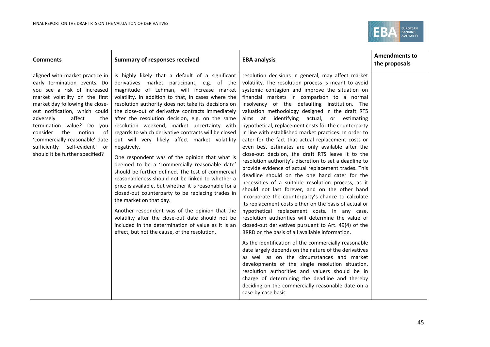

| <b>Comments</b>                                                                                                                                                                                                                                                                                                                                                                                                 | <b>Summary of responses received</b>                                                                                                                                                                                                                                                                                                                                                                                                                                                                                                                                                                                                                                                                                                                                                                                                                                                                                                                                                                                                                                                                          | <b>EBA analysis</b>                                                                                                                                                                                                                                                                                                                                                                                                                                                                                                                                                                                                                                                                                                                                                                                                                                                                                                                                                                                                                                                                                                                                                                                                                                                                                                                                                                                                                                                                                                                                                                                                                                                | <b>Amendments to</b><br>the proposals |
|-----------------------------------------------------------------------------------------------------------------------------------------------------------------------------------------------------------------------------------------------------------------------------------------------------------------------------------------------------------------------------------------------------------------|---------------------------------------------------------------------------------------------------------------------------------------------------------------------------------------------------------------------------------------------------------------------------------------------------------------------------------------------------------------------------------------------------------------------------------------------------------------------------------------------------------------------------------------------------------------------------------------------------------------------------------------------------------------------------------------------------------------------------------------------------------------------------------------------------------------------------------------------------------------------------------------------------------------------------------------------------------------------------------------------------------------------------------------------------------------------------------------------------------------|--------------------------------------------------------------------------------------------------------------------------------------------------------------------------------------------------------------------------------------------------------------------------------------------------------------------------------------------------------------------------------------------------------------------------------------------------------------------------------------------------------------------------------------------------------------------------------------------------------------------------------------------------------------------------------------------------------------------------------------------------------------------------------------------------------------------------------------------------------------------------------------------------------------------------------------------------------------------------------------------------------------------------------------------------------------------------------------------------------------------------------------------------------------------------------------------------------------------------------------------------------------------------------------------------------------------------------------------------------------------------------------------------------------------------------------------------------------------------------------------------------------------------------------------------------------------------------------------------------------------------------------------------------------------|---------------------------------------|
| aligned with market practice in<br>early termination events. Do<br>you see a risk of increased<br>market volatility on the first<br>market day following the close-<br>out notification, which could<br>adversely<br>affect<br>the<br>termination value? Do<br>you<br>notion<br>consider<br>the<br>- of<br>'commercially reasonable' date<br>sufficiently self-evident<br>or<br>should it be further specified? | is highly likely that a default of a significant<br>derivatives market participant, e.g. of the<br>magnitude of Lehman, will increase market<br>volatility. In addition to that, in cases where the<br>resolution authority does not take its decisions on<br>the close-out of derivative contracts immediately<br>after the resolution decision, e.g. on the same<br>resolution weekend, market uncertainty with<br>regards to which derivative contracts will be closed<br>out will very likely affect market volatility<br>negatively.<br>One respondent was of the opinion that what is<br>deemed to be a 'commercially reasonable date'<br>should be further defined. The test of commercial<br>reasonableness should not be linked to whether a<br>price is available, but whether it is reasonable for a<br>closed-out counterparty to be replacing trades in<br>the market on that day.<br>Another respondent was of the opinion that the<br>volatility after the close-out date should not be<br>included in the determination of value as it is an<br>effect, but not the cause, of the resolution. | resolution decisions in general, may affect market<br>volatility. The resolution process is meant to avoid<br>systemic contagion and improve the situation on<br>financial markets in comparison to a normal<br>insolvency of the defaulting institution. The<br>valuation methodology designed in the draft RTS<br>identifying actual, or estimating<br>aims at<br>hypothetical, replacement costs for the counterparty<br>in line with established market practices. In order to<br>cater for the fact that actual replacement costs or<br>even best estimates are only available after the<br>close-out decision, the draft RTS leave it to the<br>resolution authority's discretion to set a deadline to<br>provide evidence of actual replacement trades. This<br>deadline should on the one hand cater for the<br>necessities of a suitable resolution process, as it<br>should not last forever, and on the other hand<br>incorporate the counterparty's chance to calculate<br>its replacement costs either on the basis of actual or<br>hypothetical replacement costs. In any case,<br>resolution authorities will determine the value of<br>closed-out derivatives pursuant to Art. 49(4) of the<br>BRRD on the basis of all available information.<br>As the identification of the commercially reasonable<br>date largely depends on the nature of the derivatives<br>as well as on the circumstances and market<br>developments of the single resolution situation,<br>resolution authorities and valuers should be in<br>charge of determining the deadline and thereby<br>deciding on the commercially reasonable date on a<br>case-by-case basis. |                                       |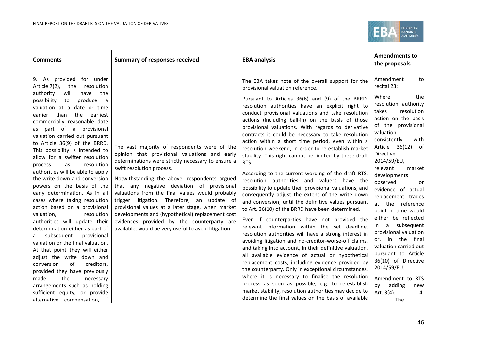

| <b>Comments</b>                                                                                                                                                                                                                                                                                               | <b>Summary of responses received</b>                                                                                                                                                                                                                                                                                                                                                                                                                                                                                                                                                            | <b>EBA analysis</b>                                                                                                                                                                                                                                                                                                                                                                                                                                    | <b>Amendments to</b><br>the proposals                                                                                                                                        |
|---------------------------------------------------------------------------------------------------------------------------------------------------------------------------------------------------------------------------------------------------------------------------------------------------------------|-------------------------------------------------------------------------------------------------------------------------------------------------------------------------------------------------------------------------------------------------------------------------------------------------------------------------------------------------------------------------------------------------------------------------------------------------------------------------------------------------------------------------------------------------------------------------------------------------|--------------------------------------------------------------------------------------------------------------------------------------------------------------------------------------------------------------------------------------------------------------------------------------------------------------------------------------------------------------------------------------------------------------------------------------------------------|------------------------------------------------------------------------------------------------------------------------------------------------------------------------------|
| 9. As provided for under<br>Article 7(2), the<br>resolution<br>authority<br>will<br>the<br>have<br>possibility<br>produce<br>to<br>a<br>valuation at a date or time                                                                                                                                           |                                                                                                                                                                                                                                                                                                                                                                                                                                                                                                                                                                                                 | The EBA takes note of the overall support for the<br>provisional valuation reference.<br>Pursuant to Articles 36(6) and (9) of the BRRD,<br>resolution authorities have an explicit right to                                                                                                                                                                                                                                                           | Amendment<br>to<br>recital 23:<br>Where<br>the<br>resolution authority<br>resolution<br>takes                                                                                |
| the<br>than<br>earliest<br>earlier<br>commercially reasonable date<br>part of a provisional<br>as<br>valuation carried out pursuant<br>to Article 36(9) of the BRRD.<br>This possibility is intended to<br>allow for a swifter resolution<br>resolution<br>as<br>process<br>authorities will be able to apply | The vast majority of respondents were of the<br>opinion that provisional valuations and early<br>determinations were strictly necessary to ensure a<br>swift resolution process.<br>Notwithstanding the above, respondents argued<br>that any negative deviation of provisional<br>valuations from the final values would probably<br>trigger litigation. Therefore, an update of<br>provisional values at a later stage, when market<br>developments and (hypothetical) replacement cost<br>evidences provided by the counterparty are<br>available, would be very useful to avoid litigation. | conduct provisional valuations and take resolution<br>actions (including bail-in) on the basis of those<br>provisional valuations. With regards to derivative<br>contracts it could be necessary to take resolution<br>action within a short time period, even within a<br>resolution weekend, in order to re-establish market<br>stability. This right cannot be limited by these draft<br>RTS.<br>According to the current wording of the draft RTS, | action on the basis<br>of the provisional<br>valuation<br>consistently<br>with<br>Article 36(12) of<br><b>Directive</b><br>2014/59/EU,<br>relevant<br>market<br>developments |
| the write down and conversion<br>powers on the basis of the<br>early determination. As in all<br>cases where taking resolution<br>action based on a provisional<br>resolution<br>valuation,<br>authorities will update their                                                                                  |                                                                                                                                                                                                                                                                                                                                                                                                                                                                                                                                                                                                 | resolution authorities and valuers have the<br>possibility to update their provisional valuations, and<br>consequently adjust the extent of the write down<br>and conversion, until the definitive values pursuant<br>to Art. 36(10) of the BRRD have been determined.<br>Even if counterparties have not provided the                                                                                                                                 | observed<br>or<br>evidence of actual<br>replacement trades<br>at the reference<br>point in time would<br>either be reflected                                                 |
| determination either as part of<br>subsequent<br>provisional<br>valuation or the final valuation.<br>At that point they will either<br>adjust the write down and<br>of<br>creditors,<br>conversion<br>provided they have previously                                                                           |                                                                                                                                                                                                                                                                                                                                                                                                                                                                                                                                                                                                 | relevant information within the set deadline,<br>resolution authorities will have a strong interest in<br>avoiding litigation and no-creditor-worse-off claims,<br>and taking into account, in their definitive valuation,<br>all available evidence of actual or hypothetical<br>replacement costs, including evidence provided by<br>the counterparty. Only in exceptional circumstances,                                                            | in a subsequent<br>provisional valuation<br>or, in the final<br>valuation carried out<br>pursuant to Article<br>36(10) of Directive<br>2014/59/EU.                           |
| made<br>the<br>necessary<br>arrangements such as holding<br>sufficient equity, or provide<br>alternative compensation, if                                                                                                                                                                                     |                                                                                                                                                                                                                                                                                                                                                                                                                                                                                                                                                                                                 | where it is necessary to finalise the resolution<br>process as soon as possible, e.g. to re-establish<br>market stability, resolution authorities may decide to<br>determine the final values on the basis of available                                                                                                                                                                                                                                | Amendment to RTS<br>by<br>adding<br>new<br>Art. $3(4)$ :<br>4.<br>The                                                                                                        |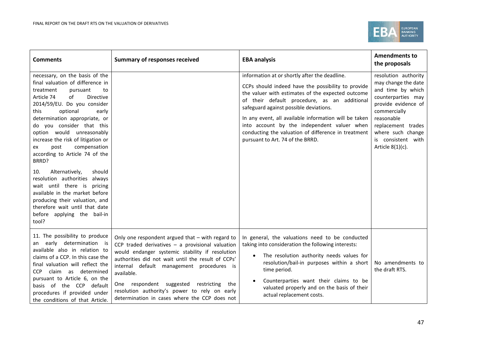

| <b>Comments</b>                                                                                                                                                                                                                                                                                                                                                                                                                                                                                                                                                                                                                                              | <b>Summary of responses received</b>                                                                                                                                                                                                                                                                                                                                                                                             | <b>EBA analysis</b>                                                                                                                                                                                                                                                                                                                                                                                                                                   | <b>Amendments to</b><br>the proposals                                                                                                                                                                                               |
|--------------------------------------------------------------------------------------------------------------------------------------------------------------------------------------------------------------------------------------------------------------------------------------------------------------------------------------------------------------------------------------------------------------------------------------------------------------------------------------------------------------------------------------------------------------------------------------------------------------------------------------------------------------|----------------------------------------------------------------------------------------------------------------------------------------------------------------------------------------------------------------------------------------------------------------------------------------------------------------------------------------------------------------------------------------------------------------------------------|-------------------------------------------------------------------------------------------------------------------------------------------------------------------------------------------------------------------------------------------------------------------------------------------------------------------------------------------------------------------------------------------------------------------------------------------------------|-------------------------------------------------------------------------------------------------------------------------------------------------------------------------------------------------------------------------------------|
| necessary, on the basis of the<br>final valuation of difference in<br>treatment<br>pursuant<br>to<br>of<br>Article 74<br>Directive<br>2014/59/EU. Do you consider<br>optional<br>early<br>this<br>determination appropriate, or<br>do you consider that this<br>option would unreasonably<br>increase the risk of litigation or<br>compensation<br>post<br>ex<br>according to Article 74 of the<br>BRRD?<br>Alternatively,<br>should<br>10.<br>resolution authorities always<br>wait until there is<br>pricing<br>available in the market before<br>producing their valuation, and<br>therefore wait until that date<br>before applying the bail-in<br>tool? |                                                                                                                                                                                                                                                                                                                                                                                                                                  | information at or shortly after the deadline.<br>CCPs should indeed have the possibility to provide<br>the valuer with estimates of the expected outcome<br>of their default procedure, as an additional<br>safeguard against possible deviations.<br>In any event, all available information will be taken<br>into account by the independent valuer when<br>conducting the valuation of difference in treatment<br>pursuant to Art. 74 of the BRRD. | resolution authority<br>may change the date<br>and time by which<br>counterparties may<br>provide evidence of<br>commercially<br>reasonable<br>replacement trades<br>where such change<br>is consistent with<br>Article $8(1)(c)$ . |
| 11. The possibility to produce<br>an early determination is<br>available also in relation to<br>claims of a CCP. In this case the<br>final valuation will reflect the<br><b>CCP</b><br>claim as determined<br>pursuant to Article 6, on the<br>basis of the CCP default<br>procedures if provided under<br>the conditions of that Article.                                                                                                                                                                                                                                                                                                                   | Only one respondent argued that $-$ with regard to<br>CCP traded derivatives $-$ a provisional valuation<br>would endanger systemic stability if resolution<br>authorities did not wait until the result of CCPs'<br>internal default management procedures is<br>available.<br>One respondent suggested<br>restricting<br>the<br>resolution authority's power to rely on early<br>determination in cases where the CCP does not | In general, the valuations need to be conducted<br>taking into consideration the following interests:<br>The resolution authority needs values for<br>resolution/bail-in purposes within a short<br>time period.<br>Counterparties want their claims to be<br>valuated properly and on the basis of their<br>actual replacement costs.                                                                                                                | No amendments to<br>the draft RTS.                                                                                                                                                                                                  |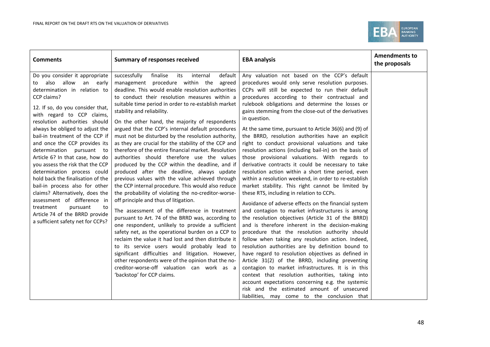

| Do you consider it appropriate<br>successfully<br>finalise<br>its<br>internal<br>default<br>also allow<br>management procedure within the<br>an early<br>agreed<br>to<br>deadline. This would enable resolution authorities<br>determination in relation to<br>to conduct their resolution measures within a<br>CCP claims?<br>suitable time period in order to re-establish market<br>12. If so, do you consider that,<br>stability and reliability.                                                                                                                                                                                                                                                                                                                                                                                                                                                                                                                                                                                                                                                                                                                                                                                                                                                                                                                                                                                                                                                                                                                                                                                                                                                                                                                | Any valuation not based on the CCP's default<br>procedures would only serve resolution purposes.<br>CCPs will still be expected to run their default<br>procedures according to their contractual and                                                                                                                                                                                                                                                                                                                                                                                                                                                                                                                                                                                                                                                                                                                                                                                                                                                                                                                                                                                                                                                                                                                                                                    |  |
|----------------------------------------------------------------------------------------------------------------------------------------------------------------------------------------------------------------------------------------------------------------------------------------------------------------------------------------------------------------------------------------------------------------------------------------------------------------------------------------------------------------------------------------------------------------------------------------------------------------------------------------------------------------------------------------------------------------------------------------------------------------------------------------------------------------------------------------------------------------------------------------------------------------------------------------------------------------------------------------------------------------------------------------------------------------------------------------------------------------------------------------------------------------------------------------------------------------------------------------------------------------------------------------------------------------------------------------------------------------------------------------------------------------------------------------------------------------------------------------------------------------------------------------------------------------------------------------------------------------------------------------------------------------------------------------------------------------------------------------------------------------------|--------------------------------------------------------------------------------------------------------------------------------------------------------------------------------------------------------------------------------------------------------------------------------------------------------------------------------------------------------------------------------------------------------------------------------------------------------------------------------------------------------------------------------------------------------------------------------------------------------------------------------------------------------------------------------------------------------------------------------------------------------------------------------------------------------------------------------------------------------------------------------------------------------------------------------------------------------------------------------------------------------------------------------------------------------------------------------------------------------------------------------------------------------------------------------------------------------------------------------------------------------------------------------------------------------------------------------------------------------------------------|--|
| with regard to CCP claims,<br>in question.<br>resolution authorities should<br>On the other hand, the majority of respondents<br>always be obliged to adjust the<br>argued that the CCP's internal default procedures<br>bail-in treatment of the CCP if<br>must not be disturbed by the resolution authority,<br>and once the CCP provides its<br>as they are crucial for the stability of the CCP and<br>therefore of the entire financial market. Resolution<br>determination pursuant to<br>authorities should therefore use the values<br>Article 6? In that case, how do<br>you assess the risk that the CCP<br>produced by the CCP within the deadline, and if<br>determination process could<br>produced after the deadline, always update<br>hold back the finalisation of the<br>previous values with the value achieved through<br>bail-in process also for other<br>the CCP internal procedure. This would also reduce<br>claims? Alternatively, does the<br>the probability of violating the no-creditor-worse-<br>these RTS, including in relation to CCPs.<br>assessment of difference in<br>off principle and thus of litigation.<br>treatment<br>pursuant<br>to<br>The assessment of the difference in treatment<br>Article 74 of the BRRD provide<br>pursuant to Art. 74 of the BRRD was, according to<br>a sufficient safety net for CCPs?<br>one respondent, unlikely to provide a sufficient<br>safety net, as the operational burden on a CCP to<br>reclaim the value it had lost and then distribute it<br>to its service users would probably lead to<br>significant difficulties and litigation. However,<br>other respondents were of the opinion that the no-<br>creditor-worse-off valuation can work as a<br>'backstop' for CCP claims. | rulebook obligations and determine the losses or<br>gains stemming from the close-out of the derivatives<br>At the same time, pursuant to Article 36(6) and (9) of<br>the BRRD, resolution authorities have an explicit<br>right to conduct provisional valuations and take<br>resolution actions (including bail-in) on the basis of<br>those provisional valuations. With regards to<br>derivative contracts it could be necessary to take<br>resolution action within a short time period, even<br>within a resolution weekend, in order to re-establish<br>market stability. This right cannot be limited by<br>Avoidance of adverse effects on the financial system<br>and contagion to market infrastructures is among<br>the resolution objectives (Article 31 of the BRRD)<br>and is therefore inherent in the decision-making<br>procedure that the resolution authority should<br>follow when taking any resolution action. Indeed,<br>resolution authorities are by definition bound to<br>have regard to resolution objectives as defined in<br>Article 31(2) of the BRRD, including preventing<br>contagion to market infrastructures. It is in this<br>context that resolution authorities, taking into<br>account expectations concerning e.g. the systemic<br>risk and the estimated amount of unsecured<br>liabilities, may come to the conclusion that |  |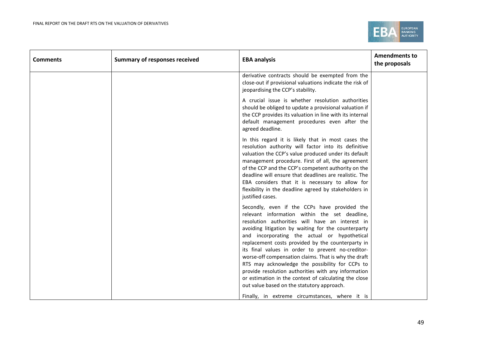

| <b>Comments</b> | <b>Summary of responses received</b> | <b>EBA analysis</b>                                                                                                                                                                                                                                                                                                                                                                                                                                                                                                                                                                                                                                                                          | <b>Amendments to</b><br>the proposals |
|-----------------|--------------------------------------|----------------------------------------------------------------------------------------------------------------------------------------------------------------------------------------------------------------------------------------------------------------------------------------------------------------------------------------------------------------------------------------------------------------------------------------------------------------------------------------------------------------------------------------------------------------------------------------------------------------------------------------------------------------------------------------------|---------------------------------------|
|                 |                                      | derivative contracts should be exempted from the<br>close-out if provisional valuations indicate the risk of<br>jeopardising the CCP's stability.                                                                                                                                                                                                                                                                                                                                                                                                                                                                                                                                            |                                       |
|                 |                                      | A crucial issue is whether resolution authorities<br>should be obliged to update a provisional valuation if<br>the CCP provides its valuation in line with its internal<br>default management procedures even after the<br>agreed deadline.                                                                                                                                                                                                                                                                                                                                                                                                                                                  |                                       |
|                 |                                      | In this regard it is likely that in most cases the<br>resolution authority will factor into its definitive<br>valuation the CCP's value produced under its default<br>management procedure. First of all, the agreement<br>of the CCP and the CCP's competent authority on the<br>deadline will ensure that deadlines are realistic. The<br>EBA considers that it is necessary to allow for<br>flexibility in the deadline agreed by stakeholders in<br>justified cases.                                                                                                                                                                                                                     |                                       |
|                 |                                      | Secondly, even if the CCPs have provided the<br>relevant information within the set deadline,<br>resolution authorities will have an interest in<br>avoiding litigation by waiting for the counterparty<br>and incorporating the actual or hypothetical<br>replacement costs provided by the counterparty in<br>its final values in order to prevent no-creditor-<br>worse-off compensation claims. That is why the draft<br>RTS may acknowledge the possibility for CCPs to<br>provide resolution authorities with any information<br>or estimation in the context of calculating the close<br>out value based on the statutory approach.<br>Finally, in extreme circumstances, where it is |                                       |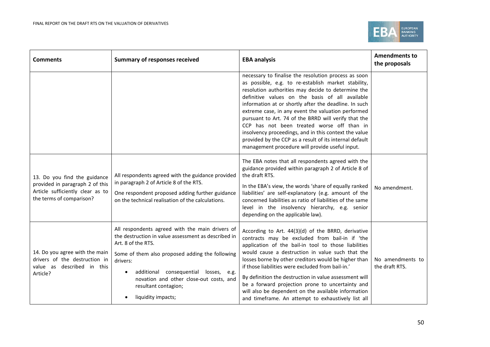

| <b>Comments</b>                                                                                                                 | <b>Summary of responses received</b>                                                                                                                                                                                                                                                                                                       | <b>EBA analysis</b>                                                                                                                                                                                                                                                                                                                                                                                                                                                                                                                                                                                              | <b>Amendments to</b><br>the proposals |
|---------------------------------------------------------------------------------------------------------------------------------|--------------------------------------------------------------------------------------------------------------------------------------------------------------------------------------------------------------------------------------------------------------------------------------------------------------------------------------------|------------------------------------------------------------------------------------------------------------------------------------------------------------------------------------------------------------------------------------------------------------------------------------------------------------------------------------------------------------------------------------------------------------------------------------------------------------------------------------------------------------------------------------------------------------------------------------------------------------------|---------------------------------------|
|                                                                                                                                 |                                                                                                                                                                                                                                                                                                                                            | necessary to finalise the resolution process as soon<br>as possible, e.g. to re-establish market stability,<br>resolution authorities may decide to determine the<br>definitive values on the basis of all available<br>information at or shortly after the deadline. In such<br>extreme case, in any event the valuation performed<br>pursuant to Art. 74 of the BRRD will verify that the<br>CCP has not been treated worse off than in<br>insolvency proceedings, and in this context the value<br>provided by the CCP as a result of its internal default<br>management procedure will provide useful input. |                                       |
| 13. Do you find the guidance<br>provided in paragraph 2 of this<br>Article sufficiently clear as to<br>the terms of comparison? | All respondents agreed with the guidance provided<br>in paragraph 2 of Article 8 of the RTS.<br>One respondent proposed adding further guidance<br>on the technical realisation of the calculations.                                                                                                                                       | The EBA notes that all respondents agreed with the<br>guidance provided within paragraph 2 of Article 8 of<br>the draft RTS.<br>In the EBA's view, the words 'share of equally ranked<br>liabilities' are self-explanatory (e.g. amount of the<br>concerned liabilities as ratio of liabilities of the same<br>level in the insolvency hierarchy, e.g. senior<br>depending on the applicable law).                                                                                                                                                                                                               | No amendment.                         |
| 14. Do you agree with the main<br>drivers of the destruction in<br>value as described in this<br>Article?                       | All respondents agreed with the main drivers of<br>the destruction in value assessment as described in<br>Art. 8 of the RTS.<br>Some of them also proposed adding the following<br>drivers:<br>additional consequential losses, e.g.<br>$\bullet$<br>novation and other close-out costs, and<br>resultant contagion;<br>liquidity impacts; | According to Art. 44(3)(d) of the BRRD, derivative<br>contracts may be excluded from bail-in if 'the<br>application of the bail-in tool to those liabilities<br>would cause a destruction in value such that the<br>losses borne by other creditors would be higher than<br>if those liabilities were excluded from bail-in.'<br>By definition the destruction in value assessment will<br>be a forward projection prone to uncertainty and<br>will also be dependent on the available information<br>and timeframe. An attempt to exhaustively list all                                                         | No amendments to<br>the draft RTS.    |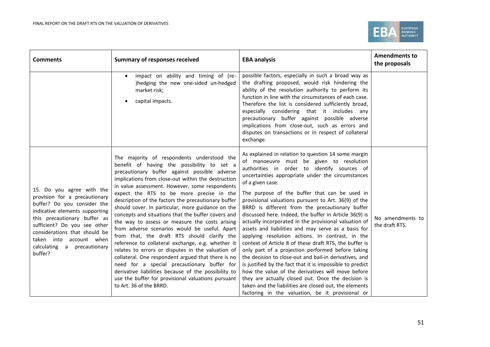

| <b>Comments</b>                                                                                                                                                                                                                                                                                   | <b>Summary of responses received</b>                                                                                                                                                                                                                                                                                                                                                                                                                                                                                                                                                                                                                                                                                                                                                                                                                                                                                                                                      | <b>EBA analysis</b>                                                                                                                                                                                                                                                                                                                                                                                                                                                                                                                                                                                                                                                                                                                                                                                                                                                                                                                                                                                                                                                              | <b>Amendments to</b><br>the proposals |
|---------------------------------------------------------------------------------------------------------------------------------------------------------------------------------------------------------------------------------------------------------------------------------------------------|---------------------------------------------------------------------------------------------------------------------------------------------------------------------------------------------------------------------------------------------------------------------------------------------------------------------------------------------------------------------------------------------------------------------------------------------------------------------------------------------------------------------------------------------------------------------------------------------------------------------------------------------------------------------------------------------------------------------------------------------------------------------------------------------------------------------------------------------------------------------------------------------------------------------------------------------------------------------------|----------------------------------------------------------------------------------------------------------------------------------------------------------------------------------------------------------------------------------------------------------------------------------------------------------------------------------------------------------------------------------------------------------------------------------------------------------------------------------------------------------------------------------------------------------------------------------------------------------------------------------------------------------------------------------------------------------------------------------------------------------------------------------------------------------------------------------------------------------------------------------------------------------------------------------------------------------------------------------------------------------------------------------------------------------------------------------|---------------------------------------|
|                                                                                                                                                                                                                                                                                                   | impact on ability and timing of (re-<br>)hedging the new one-sided un-hedged<br>market risk;<br>capital impacts.                                                                                                                                                                                                                                                                                                                                                                                                                                                                                                                                                                                                                                                                                                                                                                                                                                                          | possible factors, especially in such a broad way as<br>the drafting proposed, would risk hindering the<br>ability of the resolution authority to perform its<br>function in line with the circumstances of each case.<br>Therefore the list is considered sufficiently broad,<br>especially considering that it includes any<br>precautionary buffer against possible adverse<br>implications from close-out, such as errors and<br>disputes on transactions or in respect of collateral<br>exchange.                                                                                                                                                                                                                                                                                                                                                                                                                                                                                                                                                                            |                                       |
| 15. Do you agree with the<br>provision for a precautionary<br>buffer? Do you consider the<br>indicative elements supporting<br>this precautionary buffer as<br>sufficient? Do you see other<br>considerations that should be<br>taken into account when<br>calculating a precautionary<br>buffer? | The majority of respondents understood the<br>benefit of having the possibility to set a<br>precautionary buffer against possible adverse<br>implications from close-out within the destruction<br>in value assessment. However, some respondents<br>expect the RTS to be more precise in the<br>description of the factors the precautionary buffer<br>should cover. In particular, more guidance on the<br>concepts and situations that the buffer covers and<br>the way to assess or measure the costs arising<br>from adverse scenarios would be useful. Apart<br>from that, the draft RTS should clarify the<br>reference to collateral exchange, e.g. whether it<br>relates to errors or disputes in the valuation of<br>collateral. One respondent argued that there is no<br>need for a special precautionary buffer for<br>derivative liabilities because of the possibility to<br>use the buffer for provisional valuations pursuant<br>to Art. 36 of the BRRD. | As explained in relation to question 14 some margin<br>of manoeuvre must be given to resolution<br>authorities in order to identify sources of<br>uncertainties appropriate under the circumstances<br>of a given case.<br>The purpose of the buffer that can be used in<br>provisional valuations pursuant to Art. 36(9) of the<br>BRRD is different from the precautionary buffer<br>discussed here. Indeed, the buffer in Article 36(9) is<br>actually incorporated in the provisional valuation of<br>assets and liabilities and may serve as a basis for<br>applying resolution actions. In contrast, in the<br>context of Article 8 of these draft RTS, the buffer is<br>only part of a projection performed before taking<br>the decision to close-out and bail-in derivatives, and<br>is justified by the fact that it is impossible to predict<br>how the value of the derivatives will move before<br>they are actually closed out. Once the decision is<br>taken and the liabilities are closed out, the elements<br>factoring in the valuation, be it provisional or | No amendments to<br>the draft RTS.    |